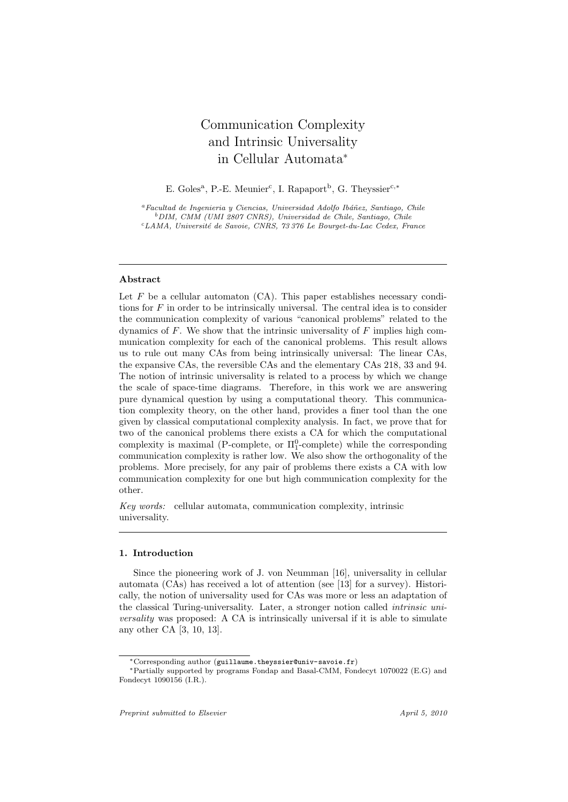# Communication Complexity and Intrinsic Universality in Cellular Automata*<sup>∗</sup>*

E. Goles<sup>a</sup>, P.-E. Meunier<sup>c</sup>, I. Rapaport<sup>b</sup>, G. Theyssier<sup>c,∗</sup>

<sup>a</sup> Facultad de Ingenieria y Ciencias, Universidad Adolfo Ibáñez, Santiago, Chile *<sup>b</sup>DIM, CMM (UMI 2807 CNRS), Universidad de Chile, Santiago, Chile <sup>c</sup>LAMA, Universit´e de Savoie, CNRS, 73 376 Le Bourget-du-Lac Cedex, France*

#### **Abstract**

Let  $F$  be a cellular automaton  $(CA)$ . This paper establishes necessary conditions for *F* in order to be intrinsically universal. The central idea is to consider the communication complexity of various "canonical problems" related to the dynamics of *F*. We show that the intrinsic universality of *F* implies high communication complexity for each of the canonical problems. This result allows us to rule out many CAs from being intrinsically universal: The linear CAs, the expansive CAs, the reversible CAs and the elementary CAs 218, 33 and 94. The notion of intrinsic universality is related to a process by which we change the scale of space-time diagrams. Therefore, in this work we are answering pure dynamical question by using a computational theory. This communication complexity theory, on the other hand, provides a finer tool than the one given by classical computational complexity analysis. In fact, we prove that for two of the canonical problems there exists a CA for which the computational complexity is maximal (P-complete, or  $\Pi_1^0$ -complete) while the corresponding communication complexity is rather low. We also show the orthogonality of the problems. More precisely, for any pair of problems there exists a CA with low communication complexity for one but high communication complexity for the other.

*Key words:* cellular automata, communication complexity, intrinsic universality.

# **1. Introduction**

Since the pioneering work of J. von Neumman [16], universality in cellular automata (CAs) has received a lot of attention (see [13] for a survey). Historically, the notion of universality used for CAs was more or less an adaptation of the classical Turing-universality. Later, a stronger notion called *intrinsic universality* was proposed: A CA is intrinsically universal if it is able to simulate any other CA [3, 10, 13].

*<sup>∗</sup>*Corresponding author (guillaume.theyssier@univ-savoie.fr)

*<sup>∗</sup>*Partially supported by programs Fondap and Basal-CMM, Fondecyt 1070022 (E.G) and Fondecyt 1090156 (I.R.).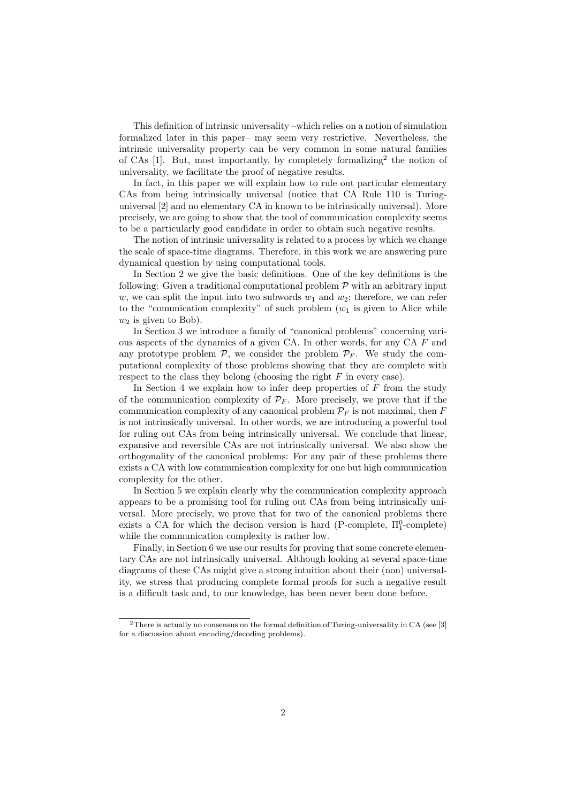This definition of intrinsic universality –which relies on a notion of simulation formalized later in this paper– may seem very restrictive. Nevertheless, the intrinsic universality property can be very common in some natural families of CAs [1]. But, most importantly, by completely formalizing<sup>2</sup> the notion of universality, we facilitate the proof of negative results.

In fact, in this paper we will explain how to rule out particular elementary CAs from being intrinsically universal (notice that CA Rule 110 is Turinguniversal [2] and no elementary CA in known to be intrinsically universal). More precisely, we are going to show that the tool of communication complexity seems to be a particularly good candidate in order to obtain such negative results.

The notion of intrinsic universality is related to a process by which we change the scale of space-time diagrams. Therefore, in this work we are answering pure dynamical question by using computational tools.

In Section 2 we give the basic definitions. One of the key definitions is the following: Given a traditional computational problem *P* with an arbitrary input *w*, we can split the input into two subwords  $w_1$  and  $w_2$ ; therefore, we can refer to the "comunication complexity" of such problem  $(w_1)$  is given to Alice while  $w_2$  is given to Bob).

In Section 3 we introduce a family of "canonical problems" concerning various aspects of the dynamics of a given CA. In other words, for any CA *F* and any prototype problem  $P$ , we consider the problem  $P_F$ . We study the computational complexity of those problems showing that they are complete with respect to the class they belong (choosing the right *F* in every case).

In Section 4 we explain how to infer deep properties of *F* from the study of the communication complexity of  $\mathcal{P}_F$ . More precisely, we prove that if the communication complexity of any canonical problem  $\mathcal{P}_F$  is not maximal, then  $F$ is not intrinsically universal. In other words, we are introducing a powerful tool for ruling out CAs from being intrinsically universal. We conclude that linear, expansive and reversible CAs are not intrinsically universal. We also show the orthogonality of the canonical problems: For any pair of these problems there exists a CA with low communication complexity for one but high communication complexity for the other.

In Section 5 we explain clearly why the communication complexity approach appears to be a promising tool for ruling out CAs from being intrinsically universal. More precisely, we prove that for two of the canonical problems there exists a CA for which the decison version is hard (P-complete,  $\Pi_1^0$ -complete) while the communication complexity is rather low.

Finally, in Section 6 we use our results for proving that some concrete elementary CAs are not intrinsically universal. Although looking at several space-time diagrams of these CAs might give a strong intuition about their (non) universality, we stress that producing complete formal proofs for such a negative result is a difficult task and, to our knowledge, has been never been done before.

<sup>&</sup>lt;sup>2</sup>There is actually no consensus on the formal definition of Turing-universality in CA (see [3] for a discussion about encoding/decoding problems).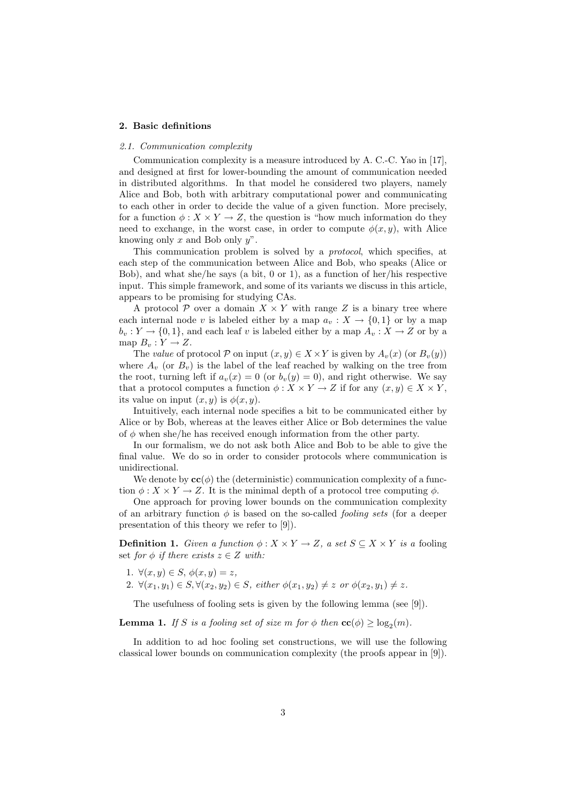#### **2. Basic definitions**

#### *2.1. Communication complexity*

Communication complexity is a measure introduced by A. C.-C. Yao in [17], and designed at first for lower-bounding the amount of communication needed in distributed algorithms. In that model he considered two players, namely Alice and Bob, both with arbitrary computational power and communicating to each other in order to decide the value of a given function. More precisely, for a function  $\phi: X \times Y \to Z$ , the question is "how much information do they need to exchange, in the worst case, in order to compute  $\phi(x, y)$ , with Alice knowing only *x* and Bob only *y*".

This communication problem is solved by a *protocol*, which specifies, at each step of the communication between Alice and Bob, who speaks (Alice or Bob), and what she/he says (a bit, 0 or 1), as a function of her/his respective input. This simple framework, and some of its variants we discuss in this article, appears to be promising for studying CAs.

A protocol  $P$  over a domain  $X \times Y$  with range Z is a binary tree where each internal node *v* is labeled either by a map  $a_v : X \to \{0,1\}$  or by a map  $b_v: Y \to \{0, 1\}$ , and each leaf *v* is labeled either by a map  $A_v: X \to Z$  or by a map  $B_v: Y \to Z$ .

The *value* of protocol  $P$  on input  $(x, y) \in X \times Y$  is given by  $A_v(x)$  (or  $B_v(y)$ ) where  $A_v$  (or  $B_v$ ) is the label of the leaf reached by walking on the tree from the root, turning left if  $a_v(x) = 0$  (or  $b_v(y) = 0$ ), and right otherwise. We say that a protocol computes a function  $\phi: X \times Y \to Z$  if for any  $(x, y) \in X \times Y$ , its value on input  $(x, y)$  is  $\phi(x, y)$ .

Intuitively, each internal node specifies a bit to be communicated either by Alice or by Bob, whereas at the leaves either Alice or Bob determines the value of  $\phi$  when she/he has received enough information from the other party.

In our formalism, we do not ask both Alice and Bob to be able to give the final value. We do so in order to consider protocols where communication is unidirectional.

We denote by  $\mathbf{cc}(\phi)$  the (deterministic) communication complexity of a function  $\phi: X \times Y \to Z$ . It is the minimal depth of a protocol tree computing  $\phi$ .

One approach for proving lower bounds on the communication complexity of an arbitrary function  $\phi$  is based on the so-called *fooling sets* (for a deeper presentation of this theory we refer to [9]).

**Definition 1.** *Given a function*  $\phi: X \times Y \to Z$ *, a set*  $S \subseteq X \times Y$  *is a* fooling set *for*  $\phi$  *if there exists*  $z \in Z$  *with:* 

- 1.  $∀(x, y) ∈ S, φ(x, y) = z,$
- 2.  $\forall (x_1, y_1) \in S, \forall (x_2, y_2) \in S$ , either  $\phi(x_1, y_2) \neq z$  or  $\phi(x_2, y_1) \neq z$ .

The usefulness of fooling sets is given by the following lemma (see [9]).

**Lemma 1.** *If S is a fooling set of size m for*  $\phi$  *then*  $\mathbf{cc}(\phi) \ge \log_2(m)$ *.* 

In addition to ad hoc fooling set constructions, we will use the following classical lower bounds on communication complexity (the proofs appear in [9]).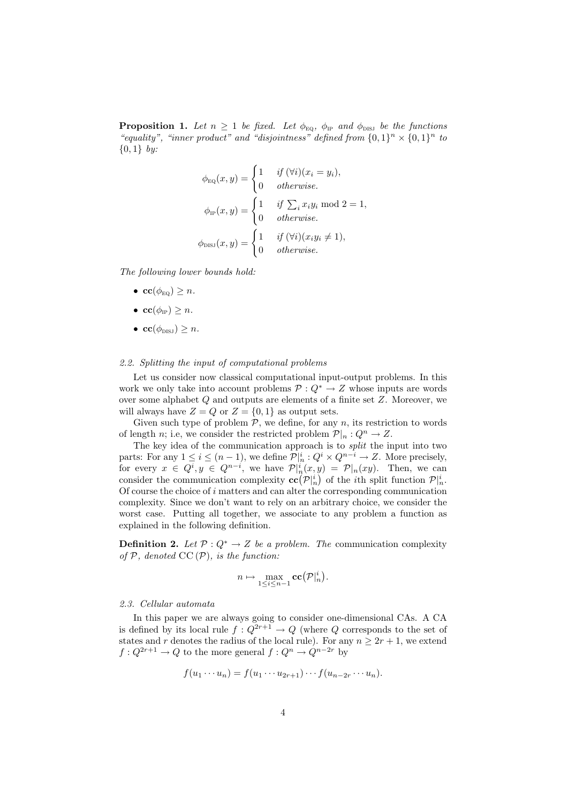**Proposition 1.** Let  $n \geq 1$  be fixed. Let  $\phi_{\text{EQ}}$ ,  $\phi_{\text{IP}}$  and  $\phi_{\text{DIS}}$  be the functions "*equality", "inner product" and "disjointness" defined from*  $\{0,1\}^n \times \{0,1\}^n$  *to {*0*,* 1*} by:*

$$
\phi_{\text{EQ}}(x, y) = \begin{cases}\n1 & \text{if } (\forall i)(x_i = y_i), \\
0 & \text{otherwise.} \n\end{cases}
$$
\n
$$
\phi_{\text{IP}}(x, y) = \begin{cases}\n1 & \text{if } \sum_i x_i y_i \text{ mod } 2 = 1, \\
0 & \text{otherwise.} \n\end{cases}
$$
\n
$$
\phi_{\text{DISJ}}(x, y) = \begin{cases}\n1 & \text{if } (\forall i)(x_i y_i \neq 1), \\
0 & \text{otherwise.} \n\end{cases}
$$

*The following lower bounds hold:*

- **cc**( $\phi_{\text{EO}}$ )  $\geq n$ *.*
- $\textbf{cc}(\phi_{\text{tp}}) \geq n$ *.*
- **cc**( $\phi_{\text{DISJ}}$ )  $\geq n$ *.*

#### *2.2. Splitting the input of computational problems*

Let us consider now classical computational input-output problems. In this work we only take into account problems  $P: Q^* \to Z$  whose inputs are words over some alphabet *Q* and outputs are elements of a finite set *Z*. Moreover, we will always have  $Z = Q$  or  $Z = \{0, 1\}$  as output sets.

Given such type of problem  $P$ , we define, for any  $n$ , its restriction to words of length *n*; i.e, we consider the restricted problem  $\mathcal{P}|_n : Q^n \to Z$ .

The key idea of the communication approach is to *split* the input into two parts: For any  $1 \leq i \leq (n-1)$ , we define  $\mathcal{P}|_n^i: Q^i \times Q^{n-i} \to \mathbb{Z}$ . More precisely, for every  $x \in Q^i, y \in Q^{n-i}$ , we have  $\mathcal{P}|_n^i(x,y) = \mathcal{P}|_n(xy)$ . Then, we can consider the communication complexity  $\mathbf{cc}(\mathcal{P}|_n^i)$  of the *i*th split function  $\mathcal{P}|_n^i$ . Of course the choice of *i* matters and can alter the corresponding communication complexity. Since we don't want to rely on an arbitrary choice, we consider the worst case. Putting all together, we associate to any problem a function as explained in the following definition.

**Definition 2.** *Let*  $P: Q^* \to Z$  *be a problem. The* communication complexity *of*  $P$ *, denoted*  $CC(P)$ *, is the function:* 

$$
n \mapsto \max_{1 \leq i \leq n-1} \mathbf{cc}\big(\mathcal{P}|_n^i\big).
$$

#### *2.3. Cellular automata*

In this paper we are always going to consider one-dimensional CAs. A CA is defined by its local rule  $f: Q^{2r+1} \to Q$  (where  $Q$  corresponds to the set of states and *r* denotes the radius of the local rule). For any  $n \geq 2r + 1$ , we extend  $f: Q^{2r+1} \to Q$  to the more general  $f: Q^n \to Q^{n-2r}$  by

$$
f(u_1\cdots u_n)=f(u_1\cdots u_{2r+1})\cdots f(u_{n-2r}\cdots u_n).
$$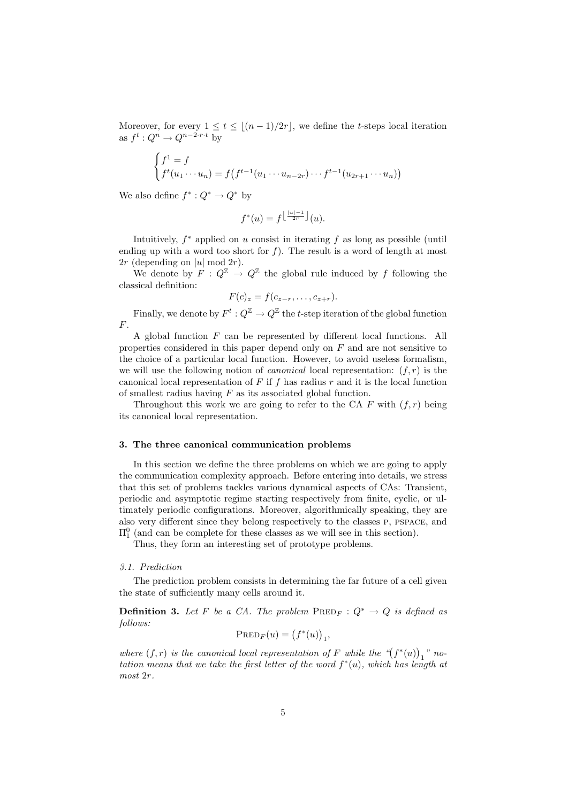Moreover, for every  $1 \le t \le \lfloor (n-1)/2r \rfloor$ , we define the *t*-steps local iteration as  $f^t: Q^n \to Q^{n-2 \cdot r \cdot t}$  by

$$
\begin{cases}\nf^1 = f \\
f^t(u_1 \cdots u_n) = f(f^{t-1}(u_1 \cdots u_{n-2r}) \cdots f^{t-1}(u_{2r+1} \cdots u_n))\n\end{cases}
$$

We also define  $f^* : Q^* \to Q^*$  by

$$
f^*(u) = f^{\left\lfloor \frac{|u|-1}{2r} \right\rfloor}(u).
$$

Intuitively, *f <sup>∗</sup>* applied on *u* consist in iterating *f* as long as possible (until ending up with a word too short for  $f$ ). The result is a word of length at most 2*r* (depending on  $|u|$  mod 2*r*).

We denote by  $F: Q^{\mathbb{Z}} \to Q^{\mathbb{Z}}$  the global rule induced by f following the classical definition:

$$
F(c)_z = f(c_{z-r}, \ldots, c_{z+r}).
$$

Finally, we denote by  $F^t: Q^{\mathbb{Z}} \to Q^{\mathbb{Z}}$  the *t*-step iteration of the global function *F*.

A global function *F* can be represented by different local functions. All properties considered in this paper depend only on *F* and are not sensitive to the choice of a particular local function. However, to avoid useless formalism, we will use the following notion of *canonical* local representation: (*f, r*) is the canonical local representation of *F* if *f* has radius *r* and it is the local function of smallest radius having *F* as its associated global function.

Throughout this work we are going to refer to the CA  $F$  with  $(f, r)$  being its canonical local representation.

## **3. The three canonical communication problems**

In this section we define the three problems on which we are going to apply the communication complexity approach. Before entering into details, we stress that this set of problems tackles various dynamical aspects of CAs: Transient, periodic and asymptotic regime starting respectively from finite, cyclic, or ultimately periodic configurations. Moreover, algorithmically speaking, they are also very different since they belong respectively to the classes p, pspace, and  $\Pi_1^0$  (and can be complete for these classes as we will see in this section).

Thus, they form an interesting set of prototype problems.

# *3.1. Prediction*

The prediction problem consists in determining the far future of a cell given the state of sufficiently many cells around it.

**Definition 3.** Let F be a CA. The problem  $\text{PRED}_F: Q^* \to Q$  is defined as *follows:*

$$
\operatorname{PRED}_F(u) = \big(f^*(u)\big)_1,
$$

*where*  $(f, r)$  *is the canonical local representation of F while the*  $\binom{m}{f^*(u)}_1$  *" notation means that we take the first letter of the word*  $f^*(u)$ *, which has length at most* 2*r.*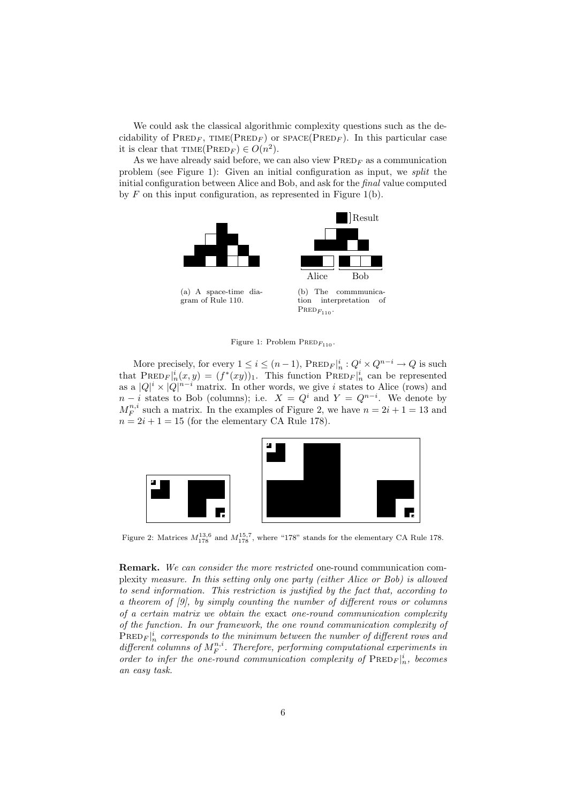We could ask the classical algorithmic complexity questions such as the decidability of  $PRED_F$ ,  $TIME(PRED_F)$  or  $SPACE(PRED_F)$ . In this particular case it is clear that  $\text{TIME}(\text{PRED}_F) \in O(n^2)$ .

As we have already said before, we can also view  $\text{PRED}_F$  as a communication problem (see Figure 1): Given an initial configuration as input, we *split* the initial configuration between Alice and Bob, and ask for the *final* value computed by *F* on this input configuration, as represented in Figure 1(b).



Figure 1: Problem PRED<sub>F110</sub>

More precisely, for every  $1 \leq i \leq (n-1)$ ,  $\text{PRED}_F|_n^i: Q^i \times Q^{n-i} \to Q$  is such that  $\text{PreD}_F|_n^i(x, y) = (f^*(xy))_1$ . This function  $\text{PreD}_F|_n^i$  can be represented as a  $|Q|^i \times |Q|^{n-i}$  matrix. In other words, we give *i* states to Alice (rows) and  $n-i$  states to Bob (columns); i.e.  $X = Q^i$  and  $Y = Q^{n-i}$ . We denote by  $M_F^{n,i}$  such a matrix. In the examples of Figure 2, we have  $n = 2i + 1 = 13$  and  $n = 2i + 1 = 15$  (for the elementary CA Rule 178).



Figure 2: Matrices  $M_{178}^{13,6}$  and  $M_{178}^{15,7}$ , where "178" stands for the elementary CA Rule 178.

**Remark.** *We can consider the more restricted* one-round communication complexity *measure. In this setting only one party (either Alice or Bob) is allowed to send information. This restriction is justified by the fact that, according to a theorem of [9], by simply counting the number of different rows or columns of a certain matrix we obtain the* exact *one-round communication complexity of the function. In our framework, the one round communication complexity of*  $\text{PRED}_F|_n^i$  corresponds to the minimum between the number of different rows and  $differential$  *columns of*  $M_F^{n,i}$ . Therefore, performing computational experiments in *order to infer the one-round communication complexity of*  $\text{PRED}_F|_n^i$ , becomes *an easy task.*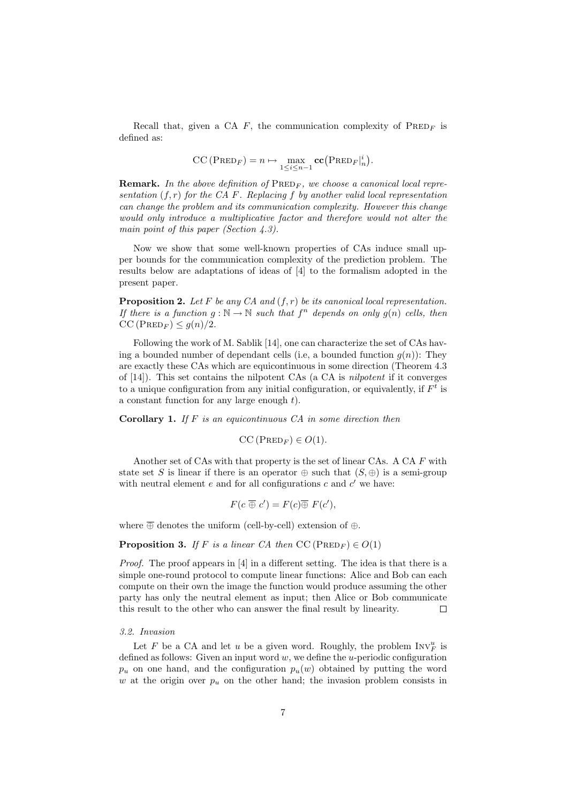Recall that, given a CA  $F$ , the communication complexity of  $P$ RED<sub>*F*</sub> is defined as:

$$
CC(PREDF) = n \mapsto \max_{1 \leq i \leq n-1} \mathbf{cc}(PREDF|ni).
$$

**Remark.** In the above definition of  $\text{PRED}_F$ , we choose a canonical local repre*sentation* (*f, r*) *for the CA F. Replacing f by another valid local representation can change the problem and its communication complexity. However this change would only introduce a multiplicative factor and therefore would not alter the main point of this paper (Section 4.3).*

Now we show that some well-known properties of CAs induce small upper bounds for the communication complexity of the prediction problem. The results below are adaptations of ideas of [4] to the formalism adopted in the present paper.

**Proposition 2.** *Let F be any CA and* (*f, r*) *be its canonical local representation. If there is a function*  $g : \mathbb{N} \to \mathbb{N}$  *such that*  $f^n$  *depends on only*  $g(n)$  *cells, then*  $CC (PRED<sub>F</sub>) \leq g(n)/2.$ 

Following the work of M. Sablik [14], one can characterize the set of CAs having a bounded number of dependant cells (i.e, a bounded function  $g(n)$ ): They are exactly these CAs which are equicontinuous in some direction (Theorem 4.3 of [14]). This set contains the nilpotent CAs (a CA is *nilpotent* if it converges to a unique configuration from any initial configuration, or equivalently, if  $F<sup>t</sup>$  is a constant function for any large enough *t*).

**Corollary 1.** *If F is an equicontinuous CA in some direction then*

$$
CC(PREDF) \in O(1).
$$

Another set of CAs with that property is the set of linear CAs. A CA *F* with state set *S* is linear if there is an operator  $\oplus$  such that  $(S, \oplus)$  is a semi-group with neutral element  $e$  and for all configurations  $c$  and  $c'$  we have:

$$
F(c \overline{\oplus} c') = F(c) \overline{\oplus} F(c'),
$$

where *⊕* denotes the uniform (cell-by-cell) extension of *⊕*.

**Proposition 3.** *If F is a linear CA then*  $CC (PRED_F) \in O(1)$ 

*Proof.* The proof appears in [4] in a different setting. The idea is that there is a simple one-round protocol to compute linear functions: Alice and Bob can each compute on their own the image the function would produce assuming the other party has only the neutral element as input; then Alice or Bob communicate this result to the other who can answer the final result by linearity.  $\Box$ 

## *3.2. Invasion*

Let *F* be a CA and let *u* be a given word. Roughly, the problem  $INV_F^u$  is defined as follows: Given an input word *w*, we define the *u*-periodic configuration  $p_u$  on one hand, and the configuration  $p_u(w)$  obtained by putting the word  $w$  at the origin over  $p_u$  on the other hand; the invasion problem consists in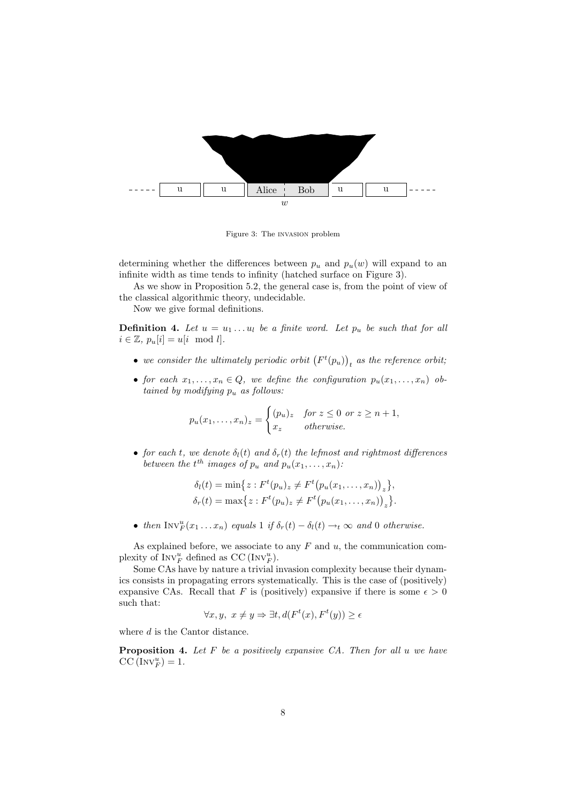

Figure 3: The invasion problem

determining whether the differences between  $p_u$  and  $p_u(w)$  will expand to an infinite width as time tends to infinity (hatched surface on Figure 3).

As we show in Proposition 5.2, the general case is, from the point of view of the classical algorithmic theory, undecidable.

Now we give formal definitions.

**Definition 4.** Let  $u = u_1 \ldots u_l$  be a finite word. Let  $p_u$  be such that for all  $i \in \mathbb{Z}, p_u[i] = u[i \mod l].$ 

- we consider the ultimately periodic orbit  $(F<sup>t</sup>(p<sub>u</sub>))<sub>t</sub>$  as the reference orbit;
- *for each*  $x_1, \ldots, x_n \in Q$ *, we define the configuration*  $p_u(x_1, \ldots, x_n)$  *obtained by modifying p<sup>u</sup> as follows:*

$$
p_u(x_1,\ldots,x_n)_z = \begin{cases} (p_u)_z & \text{for } z \leq 0 \text{ or } z \geq n+1, \\ x_z & \text{otherwise.} \end{cases}
$$

• *for each t, we denote*  $\delta_l(t)$  *and*  $\delta_r(t)$  *the lefmost and rightmost differences between the*  $t^{th}$  *images of*  $p_u$  *and*  $p_u(x_1, \ldots, x_n)$ *:* 

$$
\delta_l(t) = \min \{ z : F^t(p_u)_z \neq F^t(p_u(x_1, ..., x_n))_z \}, \n\delta_r(t) = \max \{ z : F^t(p_u)_z \neq F^t(p_u(x_1, ..., x_n))_z \}.
$$

• *then*  $\text{INV}_F^u(x_1 \ldots x_n)$  *equals* 1 *if*  $\delta_r(t) - \delta_l(t) \rightarrow_t \infty$  *and* 0 *otherwise.* 

As explained before, we associate to any *F* and *u*, the communication complexity of  $INV_F^u$  defined as  $CC$  ( $INV_F^u$ ).

Some CAs have by nature a trivial invasion complexity because their dynamics consists in propagating errors systematically. This is the case of (positively) expansive CAs. Recall that *F* is (positively) expansive if there is some  $\epsilon > 0$ such that:

$$
\forall x, y, \ x \neq y \Rightarrow \exists t, d(F^t(x), F^t(y)) \ge \epsilon
$$

where *d* is the Cantor distance.

**Proposition 4.** *Let F be a positively expansive CA. Then for all u we have*  $CC$  (INV $_{F}^{u}$ ) = 1.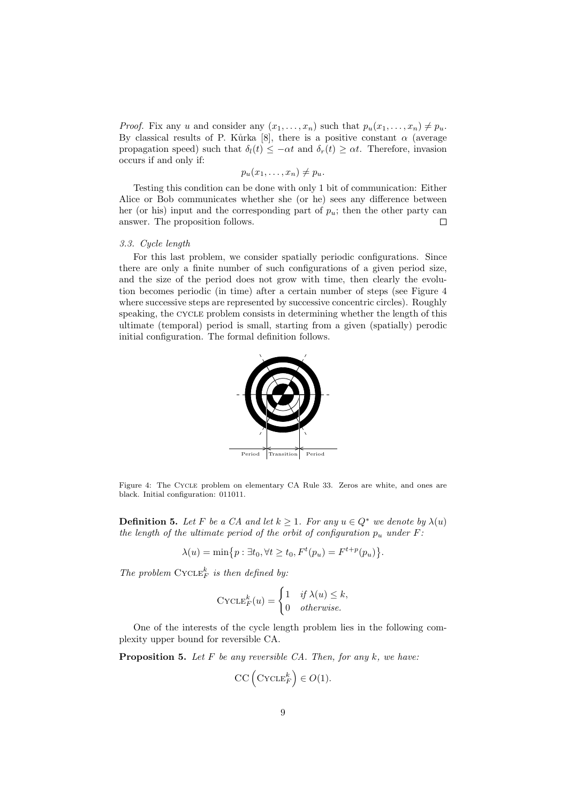*Proof.* Fix any *u* and consider any  $(x_1, \ldots, x_n)$  such that  $p_u(x_1, \ldots, x_n) \neq p_u$ . By classical results of P. Kůrka [8], there is a positive constant  $\alpha$  (average propagation speed) such that  $\delta_l(t) \leq -\alpha t$  and  $\delta_r(t) \geq \alpha t$ . Therefore, invasion occurs if and only if:

 $p_u(x_1, \ldots, x_n) \neq p_u$ .

Testing this condition can be done with only 1 bit of communication: Either Alice or Bob communicates whether she (or he) sees any difference between her (or his) input and the corresponding part of  $p_u$ ; then the other party can answer. The proposition follows.  $\Box$ 

# *3.3. Cycle length*

For this last problem, we consider spatially periodic configurations. Since there are only a finite number of such configurations of a given period size, and the size of the period does not grow with time, then clearly the evolution becomes periodic (in time) after a certain number of steps (see Figure 4 where successive steps are represented by successive concentric circles). Roughly speaking, the CYCLE problem consists in determining whether the length of this ultimate (temporal) period is small, starting from a given (spatially) perodic initial configuration. The formal definition follows.



Figure 4: The Cycle problem on elementary CA Rule 33. Zeros are white, and ones are black. Initial configuration: 011011.

**Definition 5.** Let F be a CA and let  $k \geq 1$ . For any  $u \in Q^*$  we denote by  $\lambda(u)$ *the length of the ultimate period of the orbit of configuration*  $p_u$  *under*  $F$ :

$$
\lambda(u) = \min\{p : \exists t_0, \forall t \ge t_0, F^t(p_u) = F^{t+p}(p_u)\}.
$$

*The problem*  $\mathrm{CYCLE}_F^k$  *is then defined by:* 

$$
\text{CYCLE}_F^k(u) = \begin{cases} 1 & \text{if } \lambda(u) \leq k, \\ 0 & \text{otherwise.} \end{cases}
$$

One of the interests of the cycle length problem lies in the following complexity upper bound for reversible CA.

**Proposition 5.** *Let F be any reversible CA. Then, for any k, we have:*

$$
\mathrm{CC}\left(\mathrm{CYCLE}_F^k\right) \in O(1).
$$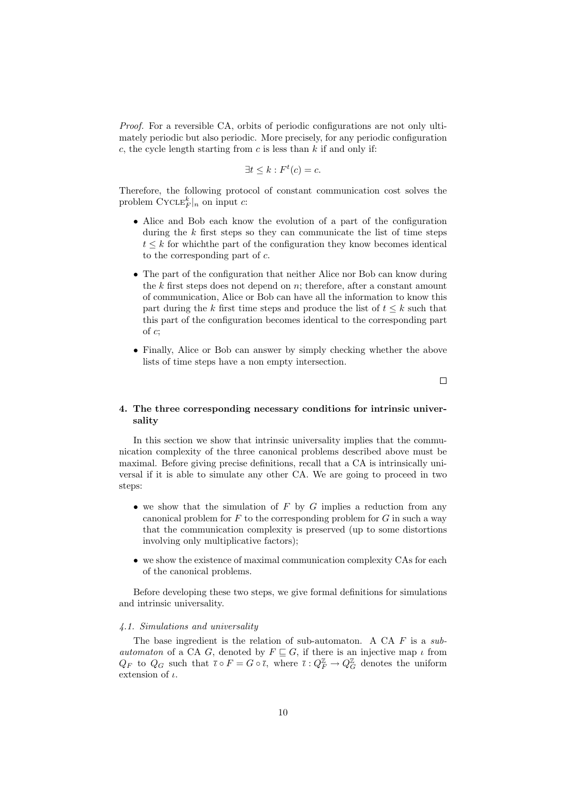*Proof.* For a reversible CA, orbits of periodic configurations are not only ultimately periodic but also periodic. More precisely, for any periodic configuration *c*, the cycle length starting from *c* is less than *k* if and only if:

$$
\exists t \leq k : F^t(c) = c.
$$

Therefore, the following protocol of constant communication cost solves the problem  $\text{CYCLE}_F^k|_n$  on input *c*:

- Alice and Bob each know the evolution of a part of the configuration during the *k* first steps so they can communicate the list of time steps  $t \leq k$  for which the part of the configuration they know becomes identical to the corresponding part of *c*.
- The part of the configuration that neither Alice nor Bob can know during the *k* first steps does not depend on *n*; therefore, after a constant amount of communication, Alice or Bob can have all the information to know this part during the *k* first time steps and produce the list of  $t \leq k$  such that this part of the configuration becomes identical to the corresponding part of *c*;
- *•* Finally, Alice or Bob can answer by simply checking whether the above lists of time steps have a non empty intersection.

 $\Box$ 

# **4. The three corresponding necessary conditions for intrinsic universality**

In this section we show that intrinsic universality implies that the communication complexity of the three canonical problems described above must be maximal. Before giving precise definitions, recall that a CA is intrinsically universal if it is able to simulate any other CA. We are going to proceed in two steps:

- *•* we show that the simulation of *F* by *G* implies a reduction from any canonical problem for *F* to the corresponding problem for *G* in such a way that the communication complexity is preserved (up to some distortions involving only multiplicative factors);
- we show the existence of maximal communication complexity CAs for each of the canonical problems.

Before developing these two steps, we give formal definitions for simulations and intrinsic universality.

#### *4.1. Simulations and universality*

The base ingredient is the relation of sub-automaton. A CA *F* is a *subautomaton* of a CA *G*, denoted by  $F \subseteq G$ , if there is an injective map *ι* from *Q<sub>F</sub>* to  $Q_G$  such that  $\bar{\iota} \circ F = G \circ \bar{\iota}$ , where  $\bar{\iota} : Q_F^{\mathbb{Z}} \to Q_G^{\mathbb{Z}}$  denotes the uniform extension of *ι*.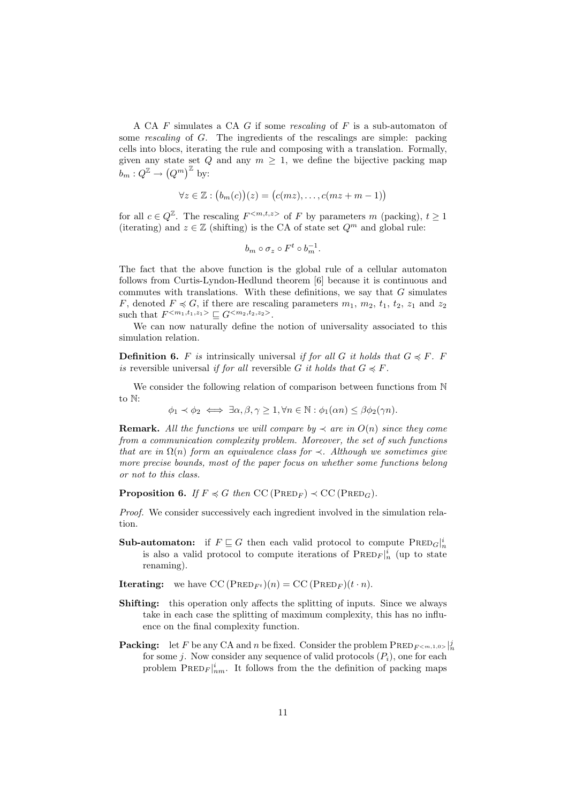A CA *F* simulates a CA *G* if some *rescaling* of *F* is a sub-automaton of some *rescaling* of *G*. The ingredients of the rescalings are simple: packing cells into blocs, iterating the rule and composing with a translation. Formally, given any state set  $Q$  and any  $m \geq 1$ , we define the bijective packing map  $b_m: Q^{\mathbb{Z}} \to (Q^m)^{\mathbb{Z}}$  by:

$$
\forall z \in \mathbb{Z} : (b_m(c))(z) = (c(mz), \dots, c(mz + m - 1))
$$

for all  $c \in Q^{\mathbb{Z}}$ . The rescaling  $F^{\langle m,t,z \rangle}$  of F by parameters m (packing),  $t \geq 1$ (iterating) and  $z \in \mathbb{Z}$  (shifting) is the CA of state set  $Q^m$  and global rule:

$$
b_m \circ \sigma_z \circ F^t \circ b_m^{-1}.
$$

The fact that the above function is the global rule of a cellular automaton follows from Curtis-Lyndon-Hedlund theorem [6] because it is continuous and commutes with translations. With these definitions, we say that *G* simulates *F*, denoted  $F \preccurlyeq G$ , if there are rescaling parameters  $m_1$ ,  $m_2$ ,  $t_1$ ,  $t_2$ ,  $z_1$  and  $z_2$ such that  $F^{} \subseteq G^{}$ .

We can now naturally define the notion of universality associated to this simulation relation.

**Definition 6.** *F is* intrinsically universal *if for all G it holds that*  $G \preccurlyeq F$ *. F is* reversible universal *if for all* reversible *G it holds that*  $G \preccurlyeq F$ .

We consider the following relation of comparison between functions from  $\mathbb N$ to N:

 $\phi_1 \prec \phi_2 \iff \exists \alpha, \beta, \gamma \geq 1, \forall n \in \mathbb{N} : \phi_1(\alpha n) \leq \beta \phi_2(\gamma n).$ 

**Remark.** All the functions we will compare by  $\prec$  are in  $O(n)$  since they come *from a communication complexity problem. Moreover, the set of such functions that are in*  $\Omega(n)$  *form an equivalence class for*  $\prec$ *. Although we sometimes give more precise bounds, most of the paper focus on whether some functions belong or not to this class.*

**Proposition 6.** *If*  $F \preccurlyeq G$  *then*  $CC$  (PRED<sub>*F*</sub>)  $\prec CC$  (PRED<sub>*G*</sub>).

*Proof.* We consider successively each ingredient involved in the simulation relation.

- **Sub-automaton:** if  $F \subseteq G$  then each valid protocol to compute  $\text{PRED}_G\vert^i_n$ is also a valid protocol to compute iterations of  $\text{PRED}_F|_n^i$  (up to state renaming).
- **Iterating:** we have  $CC (PRED_{F^t})(n) = CC (PRED_F)(t \cdot n)$ .
- **Shifting:** this operation only affects the splitting of inputs. Since we always take in each case the splitting of maximum complexity, this has no influence on the final complexity function.
- **Packing:** let *F* be any CA and *n* be fixed. Consider the problem  $\text{PRED}_{F^{< m,1,0>} \setminus \{n\}}$ for some *j*. Now consider any sequence of valid protocols  $(P_i)$ , one for each problem  $\text{PRED}_F|_{nm}^i$ . It follows from the the definition of packing maps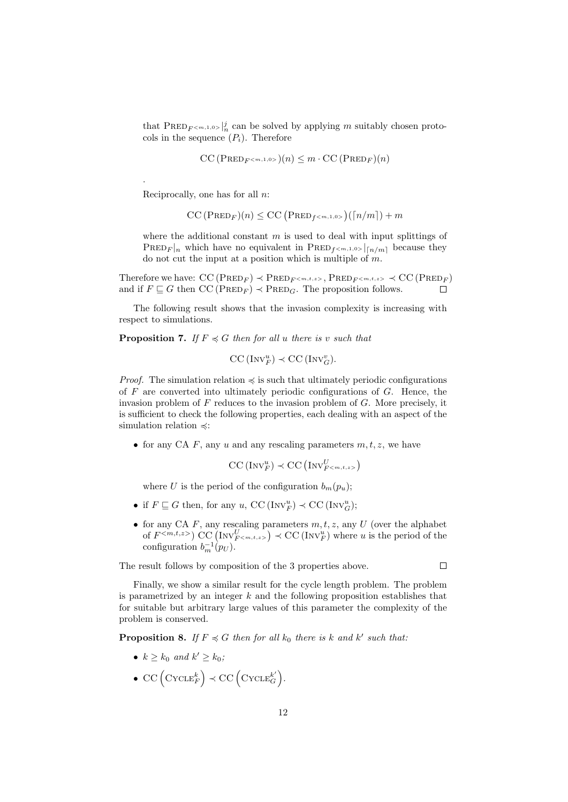that  $\text{PreD}_{F^{}}\big|_{n}^{j}$  can be solved by applying *m* suitably chosen protocols in the sequence  $(P_i)$ . Therefore

$$
\mathrm{CC}\left(\mathrm{PRED}_{F^{}}\right)(n) \leq m \cdot \mathrm{CC}\left(\mathrm{PRED}_{F}\right)(n)
$$

Reciprocally, one has for all *n*:

.

 $CC (PRED<sub>F</sub>)(n) \leq CC (PRED<sub>f</sub><sub>f>m,1,0>})([n/m]) + m</sub>$ 

where the additional constant *m* is used to deal with input splittings of  $\text{PRED}_F|_n$  which have no equivalent in  $\text{PRED}_{f \leq m,1,0>}|_{[n/m]}$  because they do not cut the input at a position which is multiple of *m*.

Therefore we have:  $\text{CC}(\text{PRED}_F) \prec \text{PRED}_{F \leq m,t,z>}$ ,  $\text{PRED}_{F \leq m,t,z>} \prec \text{CC}(\text{PRED}_F)$ and if  $F \subseteq G$  then  $CC (PRED_F) \prec PRED_G$ . The proposition follows. П

The following result shows that the invasion complexity is increasing with respect to simulations.

**Proposition 7.** *If*  $F \preccurlyeq G$  *then for all u there is v such that* 

$$
CC (Inv_F^u) \prec CC (Inv_G^v).
$$

*Proof.* The simulation relation  $\preccurlyeq$  is such that ultimately periodic configurations of *F* are converted into ultimately periodic configurations of *G*. Hence, the invasion problem of *F* reduces to the invasion problem of *G*. More precisely, it is sufficient to check the following properties, each dealing with an aspect of the simulation relation  $\preccurlyeq$ :

*•* for any CA *F*, any *u* and any rescaling parameters *m, t, z*, we have

$$
\text{CC}(\text{Inv}_F^u) \prec \text{CC}(\text{Inv}_{F^{}}^U)
$$

where *U* is the period of the configuration  $b_m(p_u)$ ;

- if  $F \subseteq G$  then, for any  $u$ , CC (INV<sup>u</sup><sub>F</sub>)  $\prec$  CC (INV<sup>u</sup><sub>G</sub>);
- *•* for any CA *F*, any rescaling parameters *m, t, z*, any *U* (over the alphabet of  $F^{\langle m,t,z\rangle}$  CC (INV $_{F^{\langle m,t,z\rangle}}^{U}$ )  $\prec$  CC (INV $_{F}^{u}$ ) where *u* is the period of the configuration  $b_m^{-1}(p_U)$ .

The result follows by composition of the 3 properties above.

Finally, we show a similar result for the cycle length problem. The problem is parametrized by an integer *k* and the following proposition establishes that for suitable but arbitrary large values of this parameter the complexity of the problem is conserved.

**Proposition 8.** If  $F \preccurlyeq G$  then for all  $k_0$  there is  $k$  and  $k'$  such that:

- $k \ge k_0$  *and*  $k' \ge k_0$ *;*
- CC  $(\text{CYCLE}_F^k) \prec \text{CC} (\text{CYCLE}_G^{k'})$ .

 $\Box$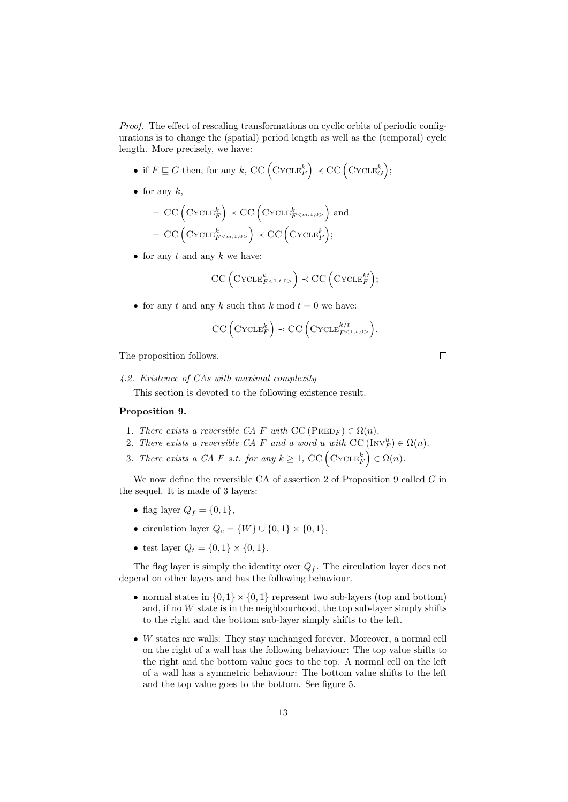*Proof.* The effect of rescaling transformations on cyclic orbits of periodic configurations is to change the (spatial) period length as well as the (temporal) cycle length. More precisely, we have:

- if  $F \sqsubseteq G$  then, for any  $k$ , CC  $(\text{CYCLE}_F^k) \prec \text{CC} (\text{CYCLE}_G^k)$ ;
- for any  $k$ ,

$$
- CC (CYCLEFk) \prec CC (CYCLEFk) and - CC (CYCLEF) \prec CC (CYCLEFk);
$$

*•* for any *t* and any *k* we have:

$$
\text{CC}\left(\text{CYCLE}_{F^{<1,t,0>}}^{k}\right) \prec \text{CC}\left(\text{CYCLE}_{F}^{kt}\right);
$$

• for any  $t$  and any  $k$  such that  $k \mod t = 0$  we have:

$$
\text{CC}\left(\text{CYCLE}_F^k\right) \prec \text{CC}\left(\text{CYCLE}_{F^{<1,t,0>}}^{k/t}\right).
$$

The proposition follows.

#### *4.2. Existence of CAs with maximal complexity*

This section is devoted to the following existence result.

# **Proposition 9.**

- 1. *There exists a reversible CA*  $F$  *with*  $CC (PRED_F) \in \Omega(n)$ .
- 2. *There exists a reversible CA F* and a word *u* with  $\text{CC}(\text{Inv}_F^u) \in \Omega(n)$ .
- 3. *There exists a CA F s.t. for any*  $k \geq 1$ , CC  $(C \text{YCLE}_F^k) \in \Omega(n)$ .

We now define the reversible CA of assertion 2 of Proposition 9 called *G* in the sequel. It is made of 3 layers:

- flag layer  $Q_f = \{0, 1\}$ ,
- *•* circulation layer *Q<sup>c</sup>* = *{W} ∪ {*0*,* 1*} × {*0*,* 1*}*,
- test layer  $Q_t = \{0, 1\} \times \{0, 1\}$ .

The flag layer is simply the identity over  $Q_f$ . The circulation layer does not depend on other layers and has the following behaviour.

- normal states in  $\{0,1\} \times \{0,1\}$  represent two sub-layers (top and bottom) and, if no  $W$  state is in the neighbourhood, the top sub-layer simply shifts to the right and the bottom sub-layer simply shifts to the left.
- *• W* states are walls: They stay unchanged forever. Moreover, a normal cell on the right of a wall has the following behaviour: The top value shifts to the right and the bottom value goes to the top. A normal cell on the left of a wall has a symmetric behaviour: The bottom value shifts to the left and the top value goes to the bottom. See figure 5.

 $\Box$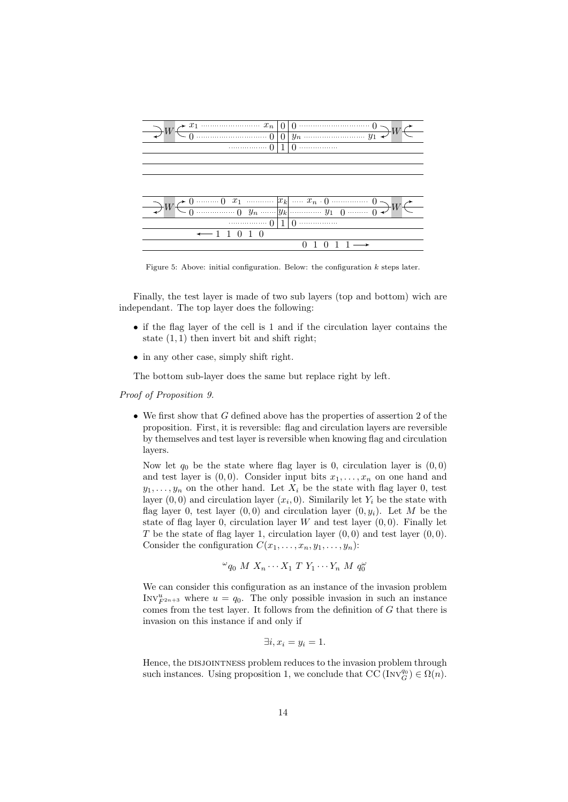| $\begin{array}{c c c c c c c c c} \hline x_1 & \cdots & x_n & 0 & 0 & \cdots & 0 \\ \hline \hline 0 & \cdots & 0 & 0 & y_n & \cdots & y_1 \end{array}$ |  |  |  |  |  |  |  |
|--------------------------------------------------------------------------------------------------------------------------------------------------------|--|--|--|--|--|--|--|
|                                                                                                                                                        |  |  |  |  |  |  |  |
| $\cdots$ 0 1 0 $\cdots$                                                                                                                                |  |  |  |  |  |  |  |
|                                                                                                                                                        |  |  |  |  |  |  |  |
|                                                                                                                                                        |  |  |  |  |  |  |  |
|                                                                                                                                                        |  |  |  |  |  |  |  |
|                                                                                                                                                        |  |  |  |  |  |  |  |
|                                                                                                                                                        |  |  |  |  |  |  |  |
|                                                                                                                                                        |  |  |  |  |  |  |  |
| $\cdots$ 0 1 0 $\cdots$                                                                                                                                |  |  |  |  |  |  |  |
|                                                                                                                                                        |  |  |  |  |  |  |  |
|                                                                                                                                                        |  |  |  |  |  |  |  |
|                                                                                                                                                        |  |  |  |  |  |  |  |

Figure 5: Above: initial configuration. Below: the configuration *k* steps later.

Finally, the test layer is made of two sub layers (top and bottom) wich are independant. The top layer does the following:

- if the flag layer of the cell is 1 and if the circulation layer contains the state (1*,* 1) then invert bit and shift right;
- in any other case, simply shift right.

The bottom sub-layer does the same but replace right by left.

*Proof of Proposition 9.*

• We first show that *G* defined above has the properties of assertion 2 of the proposition. First, it is reversible: flag and circulation layers are reversible by themselves and test layer is reversible when knowing flag and circulation layers.

Now let  $q_0$  be the state where flag layer is 0, circulation layer is  $(0,0)$ and test layer is  $(0,0)$ . Consider input bits  $x_1, \ldots, x_n$  on one hand and  $y_1, \ldots, y_n$  on the other hand. Let  $X_i$  be the state with flag layer 0, test layer  $(0,0)$  and circulation layer  $(x_i,0)$ . Similarily let  $Y_i$  be the state with flag layer 0, test layer  $(0,0)$  and circulation layer  $(0, y_i)$ . Let M be the state of flag layer 0, circulation layer  $W$  and test layer  $(0,0)$ . Finally let *T* be the state of flag layer 1, circulation layer (0*,* 0) and test layer (0*,* 0). Consider the configuration  $C(x_1, \ldots, x_n, y_1, \ldots, y_n)$ :

$$
\omega_{q_0} M X_n \cdots X_1 T Y_1 \cdots Y_n M q_0^{\omega}
$$

We can consider this configuration as an instance of the invasion problem Inv $V_{F^{2n+3}}^u$  where  $u = q_0$ . The only possible invasion in such an instance comes from the test layer. It follows from the definition of *G* that there is invasion on this instance if and only if

$$
\exists i, x_i = y_i = 1.
$$

Hence, the DISJOINTNESS problem reduces to the invasion problem through such instances. Using proposition 1, we conclude that  $\overline{CC}(\text{Inv}_{G}^{q_0}) \in \Omega(n)$ .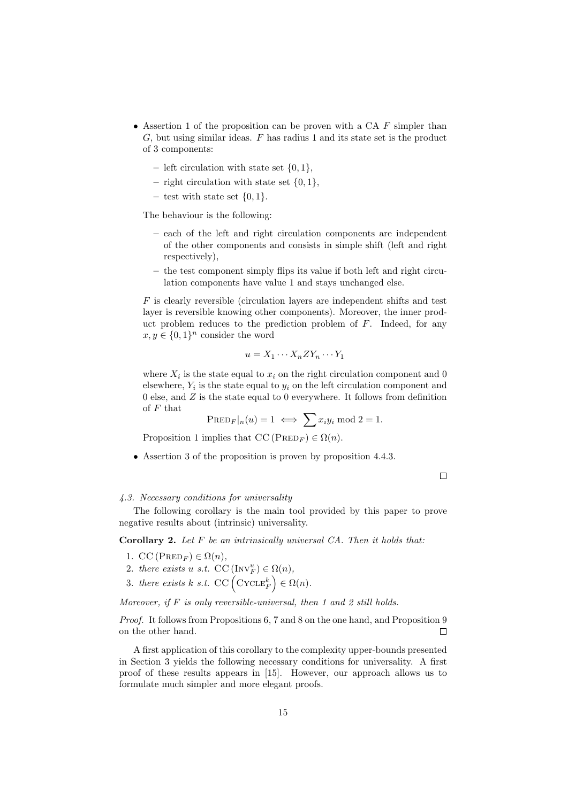- *•* Assertion 1 of the proposition can be proven with a CA *F* simpler than *G*, but using similar ideas. *F* has radius 1 and its state set is the product of 3 components:
	- **–** left circulation with state set *{*0*,* 1*}*,
	- **–** right circulation with state set *{*0*,* 1*}*,
	- **–** test with state set *{*0*,* 1*}*.

The behaviour is the following:

- **–** each of the left and right circulation components are independent of the other components and consists in simple shift (left and right respectively),
- **–** the test component simply flips its value if both left and right circulation components have value 1 and stays unchanged else.

*F* is clearly reversible (circulation layers are independent shifts and test layer is reversible knowing other components). Moreover, the inner product problem reduces to the prediction problem of *F*. Indeed, for any  $x, y \in \{0, 1\}^n$  consider the word

$$
u = X_1 \cdots X_n Z Y_n \cdots Y_1
$$

where  $X_i$  is the state equal to  $x_i$  on the right circulation component and 0 elsewhere,  $Y_i$  is the state equal to  $y_i$  on the left circulation component and 0 else, and *Z* is the state equal to 0 everywhere. It follows from definition of *F* that

$$
\text{PRED}_F|_n(u) = 1 \iff \sum x_i y_i \text{ mod } 2 = 1.
$$

Proposition 1 implies that  $CC (PRED<sub>F</sub>) \in \Omega(n)$ .

*•* Assertion 3 of the proposition is proven by proposition 4.4.3.

 $\Box$ 

# *4.3. Necessary conditions for universality*

The following corollary is the main tool provided by this paper to prove negative results about (intrinsic) universality.

**Corollary 2.** *Let F be an intrinsically universal CA. Then it holds that:*

- 1. CC ( $\text{PRED}_F$ )  $\in \Omega(n)$ ,
- 2. *there exists u s.t.*  $CC \left( Inv_F^u \right) \in \Omega(n)$ ,
- 3. *there exists*  $k$  *s.t.* CC  $(C \setminus C \subseteq E_F^k) \in \Omega(n)$ .

*Moreover, if F is only reversible-universal, then 1 and 2 still holds.*

*Proof.* It follows from Propositions 6, 7 and 8 on the one hand, and Proposition 9 on the other hand.  $\Box$ 

A first application of this corollary to the complexity upper-bounds presented in Section 3 yields the following necessary conditions for universality. A first proof of these results appears in [15]. However, our approach allows us to formulate much simpler and more elegant proofs.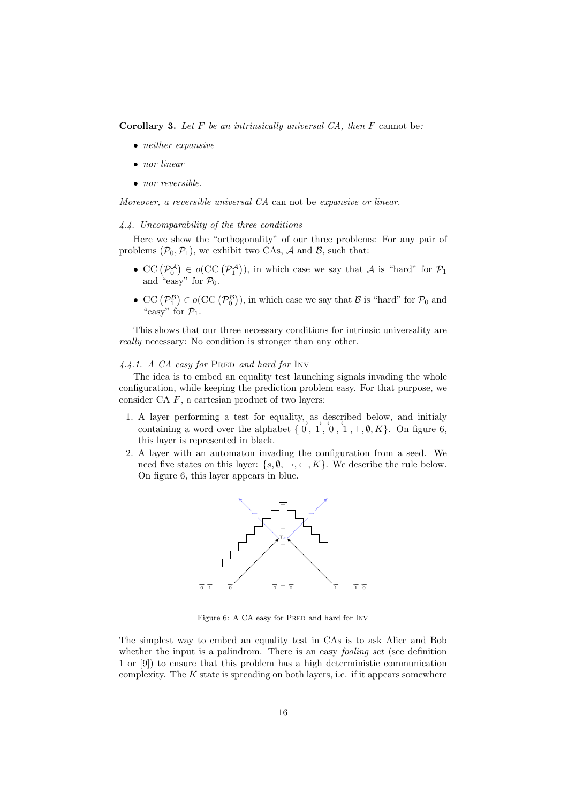**Corollary 3.** *Let F be an intrinsically universal CA, then F* cannot be*:*

- *• neither expansive*
- *• nor linear*
- *• nor reversible.*

*Moreover, a reversible universal CA* can not be *expansive or linear.*

# *4.4. Uncomparability of the three conditions*

Here we show the "orthogonality" of our three problems: For any pair of problems  $(\mathcal{P}_0, \mathcal{P}_1)$ , we exhibit two CAs, *A* and *B*, such that:

- CC  $(\mathcal{P}_0^{\mathcal{A}}) \in o(\mathrm{CC}(\mathcal{P}_1^{\mathcal{A}}))$ , in which case we say that *A* is "hard" for  $\mathcal{P}_1$ and "easy" for  $P_0$ .
- CC  $(\mathcal{P}_1^{\mathcal{B}}) \in o(\mathbf{CC}(\mathcal{P}_0^{\mathcal{B}}))$ , in which case we say that  $\mathcal{B}$  is "hard" for  $\mathcal{P}_0$  and "easy" for  $\mathcal{P}_1$ .

This shows that our three necessary conditions for intrinsic universality are *really* necessary: No condition is stronger than any other.

## 4.4.1. A CA easy for PRED and hard for Inv

The idea is to embed an equality test launching signals invading the whole configuration, while keeping the prediction problem easy. For that purpose, we consider CA *F*, a cartesian product of two layers:

- 1. A layer performing a test for equality, as described below, and initialy containing a word over the alphabet  $\{\overrightarrow{0}, \overrightarrow{1}, \overrightarrow{0}, \overrightarrow{1}, \overrightarrow{7}, \emptyset, K\}$ . On figure 6, this layer is represented in black.
- 2. A layer with an automaton invading the configuration from a seed. We need five states on this layer:  $\{s, \emptyset, \rightarrow, \leftarrow, K\}$ . We describe the rule below. On figure 6, this layer appears in blue.



Figure 6: A CA easy for PRED and hard for INV

The simplest way to embed an equality test in CAs is to ask Alice and Bob whether the input is a palindrom. There is an easy *fooling set* (see definition 1 or [9]) to ensure that this problem has a high deterministic communication complexity. The *K* state is spreading on both layers, i.e. if it appears somewhere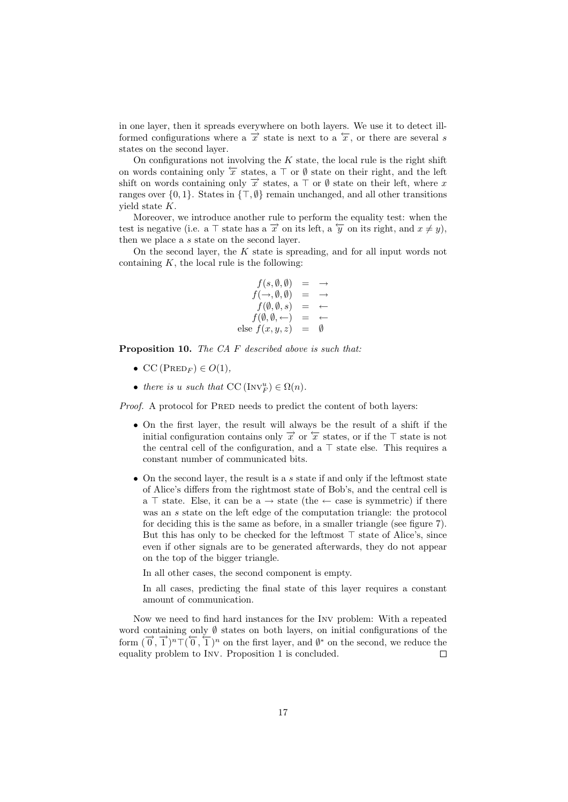in one layer, then it spreads everywhere on both layers. We use it to detect illformed configurations where a  $\vec{x}$  state is next to a  $\hat{x}$ , or there are several *s* states on the second layer.

On configurations not involving the *K* state, the local rule is the right shift on words containing only *←−<sup>x</sup>* states, a *<sup>⊤</sup>* or *<sup>∅</sup>* state on their right, and the left shift on words containing only  $\vec{x}$  states, a  $\top$  or  $\emptyset$  state on their left, where *x* ranges over *{*0*,* 1*}*. States in *{⊤, ∅}* remain unchanged, and all other transitions yield state *K*.

Moreover, we introduce another rule to perform the equality test: when the test is negative (i.e. a  $\top$  state has a  $\vec{x}$  on its left, a  $\overleftarrow{y}$  on its right, and  $x \neq y$ ), then we place a *s* state on the second layer.

On the second layer, the *K* state is spreading, and for all input words not containing  $K$ , the local rule is the following:

$$
f(s, \emptyset, \emptyset) = \rightarrow
$$
  
\n
$$
f(\rightarrow, \emptyset, \emptyset) = \rightarrow
$$
  
\n
$$
f(\emptyset, \emptyset, s) = \leftarrow
$$
  
\n
$$
f(\emptyset, \emptyset, \leftarrow) = \leftarrow
$$
  
\nelse 
$$
f(x, y, z) = \emptyset
$$

**Proposition 10.** *The CA F described above is such that:*

- $CC(PRED_F) \in O(1)$ *,*
- *there is u such that*  $CC \left( Inv_F^u \right) \in \Omega(n)$ *.*

*Proof.* A protocol for PRED needs to predict the content of both layers:

- *•* On the first layer, the result will always be the result of a shift if the initial configuration contains only  $\vec{x}$  or  $\vec{x}$  states, or if the  $\top$  state is not the central cell of the configuration, and a *⊤* state else. This requires a constant number of communicated bits.
- *•* On the second layer, the result is a *s* state if and only if the leftmost state of Alice's differs from the rightmost state of Bob's, and the central cell is a *⊤* state. Else, it can be a *→* state (the *←* case is symmetric) if there was an *s* state on the left edge of the computation triangle: the protocol for deciding this is the same as before, in a smaller triangle (see figure 7). But this has only to be checked for the leftmost *⊤* state of Alice's, since even if other signals are to be generated afterwards, they do not appear on the top of the bigger triangle.

In all other cases, the second component is empty.

In all cases, predicting the final state of this layer requires a constant amount of communication.

Now we need to find hard instances for the Inv problem: With a repeated word containing only *∅* states on both layers, on initial configurations of the form  $(\vec{0}, \vec{1})^n$ <sup>T</sup> $(\vec{0}, \vec{1})^n$  on the first layer, and  $\emptyset^*$  on the second, we reduce the equality problem to Inv. Proposition 1 is concluded.  $\Box$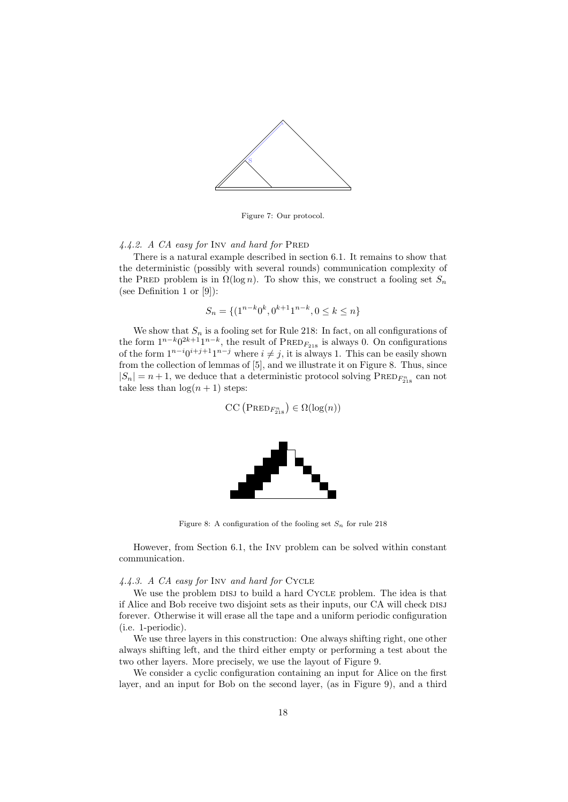

Figure 7: Our protocol.

## *4.4.2. A CA easy for* Inv *and hard for* Pred

There is a natural example described in section 6.1. It remains to show that the deterministic (possibly with several rounds) communication complexity of the PRED problem is in  $\Omega(\log n)$ . To show this, we construct a fooling set  $S_n$ (see Definition 1 or [9]):

$$
S_n = \{ (1^{n-k}0^k, 0^{k+1}1^{n-k}, 0 \le k \le n \}
$$

We show that  $S_n$  is a fooling set for Rule 218: In fact, on all configurations of the form  $1^{n-k}0^{2k+1}1^{n-k}$ , the result of PRED<sub>*F*218</sub> is always 0. On configurations of the form  $1^{n-i}0^{i+j+1}1^{n-j}$  where  $i \neq j$ , it is always 1. This can be easily shown from the collection of lemmas of [5], and we illustrate it on Figure 8. Thus, since  $|S_n| = n + 1$ , we deduce that a deterministic protocol solving  $\text{PRED}_{F_{218}^n}$  can not take less than  $log(n + 1)$  steps:

$$
\mathrm{CC}\left(\mathrm{PRED}_{F_{218}^n}\right) \in \Omega(\log(n))
$$



Figure 8: A configuration of the fooling set  $S_n$  for rule 218

However, from Section 6.1, the Inv problem can be solved within constant communication.

## *4.4.3. A CA easy for* Inv *and hard for* Cycle

We use the problem DISJ to build a hard CYCLE problem. The idea is that if Alice and Bob receive two disjoint sets as their inputs, our CA will check DISJ forever. Otherwise it will erase all the tape and a uniform periodic configuration (i.e. 1-periodic).

We use three layers in this construction: One always shifting right, one other always shifting left, and the third either empty or performing a test about the two other layers. More precisely, we use the layout of Figure 9.

We consider a cyclic configuration containing an input for Alice on the first layer, and an input for Bob on the second layer, (as in Figure 9), and a third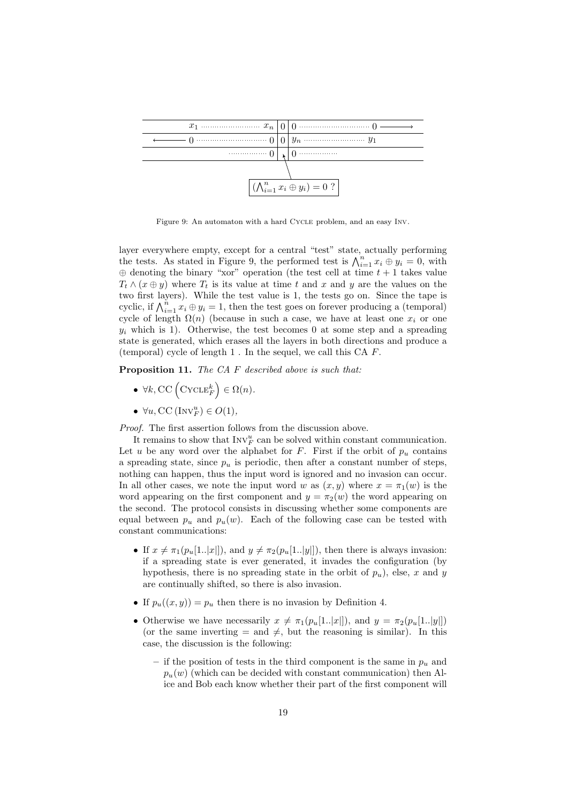

Figure 9: An automaton with a hard Cycle problem, and an easy Inv.

layer everywhere empty, except for a central "test" state, actually performing the tests. As stated in Figure 9, the performed test is  $\bigwedge_{i=1}^{n} x_i \oplus y_i = 0$ , with *⊕* denoting the binary "xor" operation (the test cell at time *t* + 1 takes value  $T_t \wedge (x \oplus y)$  where  $T_t$  is its value at time *t* and *x* and *y* are the values on the two first layers). While the test value is 1, the tests go on. Since the tape is cyclic, if  $\bigwedge_{i=1}^{n} x_i \oplus y_i = 1$ , then the test goes on forever producing a (temporal) cycle of length  $\Omega(n)$  (because in such a case, we have at least one  $x_i$  or one  $y_i$  which is 1). Otherwise, the test becomes 0 at some step and a spreading state is generated, which erases all the layers in both directions and produce a (temporal) cycle of length 1 . In the sequel, we call this CA *F*.

**Proposition 11.** *The CA F described above is such that:*

- $\forall k, \text{CC}(\text{CYCLE}_F^k) \in \Omega(n)$ .
- *• ∀u,* CC (Inv*<sup>u</sup> <sup>F</sup>* ) *∈ O*(1)*,*

*Proof.* The first assertion follows from the discussion above.

It remains to show that  $\text{Inv}_F^u$  can be solved within constant communication. Let *u* be any word over the alphabet for  $F$ . First if the orbit of  $p_u$  contains a spreading state, since  $p_u$  is periodic, then after a constant number of steps, nothing can happen, thus the input word is ignored and no invasion can occur. In all other cases, we note the input word *w* as  $(x, y)$  where  $x = \pi_1(w)$  is the word appearing on the first component and  $y = \pi_2(w)$  the word appearing on the second. The protocol consists in discussing whether some components are equal between  $p_u$  and  $p_u(w)$ . Each of the following case can be tested with constant communications:

- If  $x \neq \pi_1(p_u[1..|x|])$ , and  $y \neq \pi_2(p_u[1..|y|])$ , then there is always invasion: if a spreading state is ever generated, it invades the configuration (by hypothesis, there is no spreading state in the orbit of  $p_u$ ), else, *x* and *y* are continually shifted, so there is also invasion.
- If  $p_u((x, y)) = p_u$  then there is no invasion by Definition 4.
- Otherwise we have necessarily  $x \neq \pi_1(p_u[1..|x|])$ , and  $y = \pi_2(p_u[1..|y|])$ (or the same inverting  $=$  and  $\neq$ , but the reasoning is similar). In this case, the discussion is the following:
	- **–** if the position of tests in the third component is the same in *p<sup>u</sup>* and  $p_u(w)$  (which can be decided with constant communication) then Alice and Bob each know whether their part of the first component will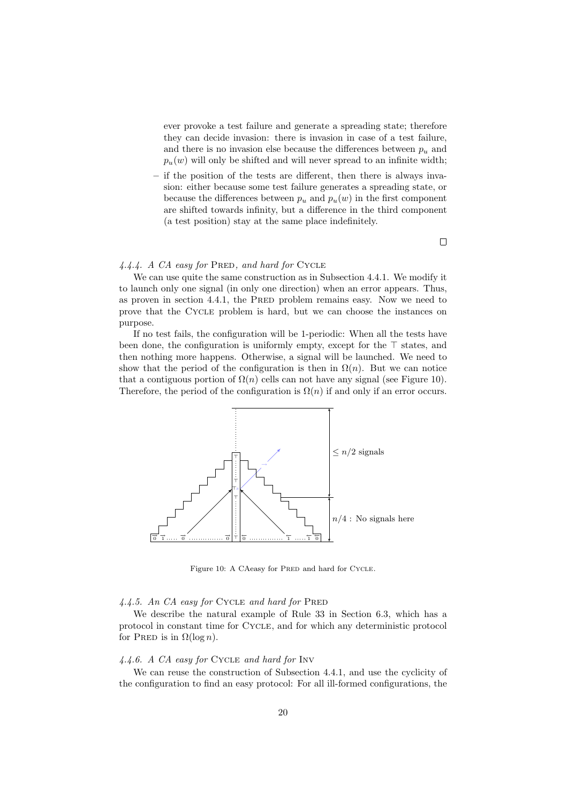ever provoke a test failure and generate a spreading state; therefore they can decide invasion: there is invasion in case of a test failure, and there is no invasion else because the differences between  $p_u$  and  $p_u(w)$  will only be shifted and will never spread to an infinite width;

**–** if the position of the tests are different, then there is always invasion: either because some test failure generates a spreading state, or because the differences between  $p_u$  and  $p_u(w)$  in the first component are shifted towards infinity, but a difference in the third component (a test position) stay at the same place indefinitely.

 $\Box$ 

## 4.4.4. A CA easy for PRED, and hard for CYCLE

We can use quite the same construction as in Subsection 4.4.1. We modify it to launch only one signal (in only one direction) when an error appears. Thus, as proven in section 4.4.1, the PRED problem remains easy. Now we need to prove that the Cycle problem is hard, but we can choose the instances on purpose.

If no test fails, the configuration will be 1-periodic: When all the tests have been done, the configuration is uniformly empty, except for the *⊤* states, and then nothing more happens. Otherwise, a signal will be launched. We need to show that the period of the configuration is then in  $\Omega(n)$ . But we can notice that a contiguous portion of  $\Omega(n)$  cells can not have any signal (see Figure 10). Therefore, the period of the configuration is  $\Omega(n)$  if and only if an error occurs.



Figure 10: A CAeasy for PRED and hard for CYCLE.

# *4.4.5. An CA easy for* Cycle *and hard for* Pred

We describe the natural example of Rule 33 in Section 6.3, which has a protocol in constant time for Cycle, and for which any deterministic protocol for PRED is in  $\Omega(\log n)$ .

## *4.4.6. A CA easy for* Cycle *and hard for* Inv

We can reuse the construction of Subsection 4.4.1, and use the cyclicity of the configuration to find an easy protocol: For all ill-formed configurations, the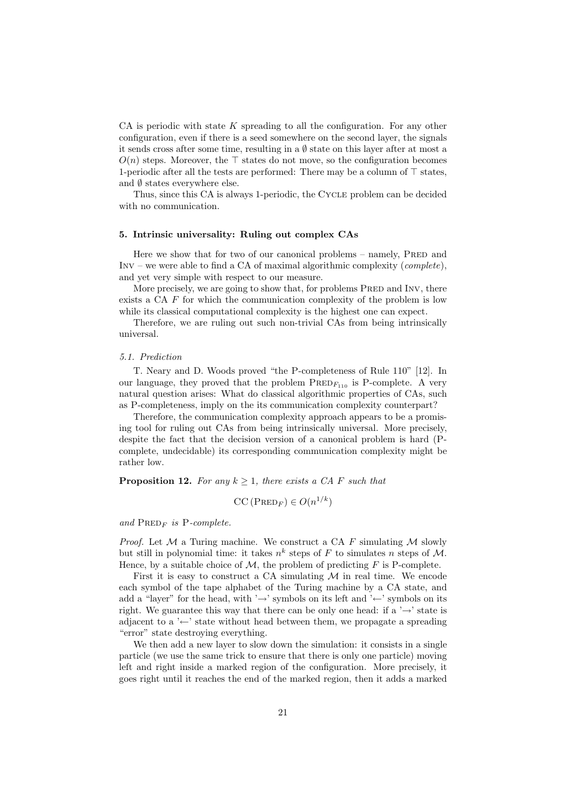CA is periodic with state *K* spreading to all the configuration. For any other configuration, even if there is a seed somewhere on the second layer, the signals it sends cross after some time, resulting in a *∅* state on this layer after at most a *O*(*n*) steps. Moreover, the *⊤* states do not move, so the configuration becomes 1-periodic after all the tests are performed: There may be a column of *⊤* states, and *∅* states everywhere else.

Thus, since this CA is always 1-periodic, the Cycle problem can be decided with no communication.

#### **5. Intrinsic universality: Ruling out complex CAs**

Here we show that for two of our canonical problems  $-$  namely, PRED and Inv – we were able to find a CA of maximal algorithmic complexity (*complete*), and yet very simple with respect to our measure.

More precisely, we are going to show that, for problems PRED and INV, there exists a CA *F* for which the communication complexity of the problem is low while its classical computational complexity is the highest one can expect.

Therefore, we are ruling out such non-trivial CAs from being intrinsically universal.

#### *5.1. Prediction*

T. Neary and D. Woods proved "the P-completeness of Rule 110" [12]. In our language, they proved that the problem  $PRED_{F_{110}}$  is P-complete. A very natural question arises: What do classical algorithmic properties of CAs, such as P-completeness, imply on the its communication complexity counterpart?

Therefore, the communication complexity approach appears to be a promising tool for ruling out CAs from being intrinsically universal. More precisely, despite the fact that the decision version of a canonical problem is hard (Pcomplete, undecidable) its corresponding communication complexity might be rather low.

#### **Proposition 12.** For any  $k \geq 1$ , there exists a CA F such that

$$
CC\left(\text{PRED}_F\right) \in O(n^{1/k})
$$

#### and  $\text{PRED}_F$  *is* P-complete.

*Proof.* Let *M* a Turing machine. We construct a CA *F* simulating *M* slowly but still in polynomial time: it takes  $n^k$  steps of *F* to simulates *n* steps of *M*. Hence, by a suitable choice of  $M$ , the problem of predicting  $F$  is P-complete.

First it is easy to construct a CA simulating  $M$  in real time. We encode each symbol of the tape alphabet of the Turing machine by a CA state, and add a "layer" for the head, with '*→*' symbols on its left and '*←*' symbols on its right. We guarantee this way that there can be only one head: if a '*→*' state is adjacent to a '*←*' state without head between them, we propagate a spreading "error" state destroying everything.

We then add a new layer to slow down the simulation: it consists in a single particle (we use the same trick to ensure that there is only one particle) moving left and right inside a marked region of the configuration. More precisely, it goes right until it reaches the end of the marked region, then it adds a marked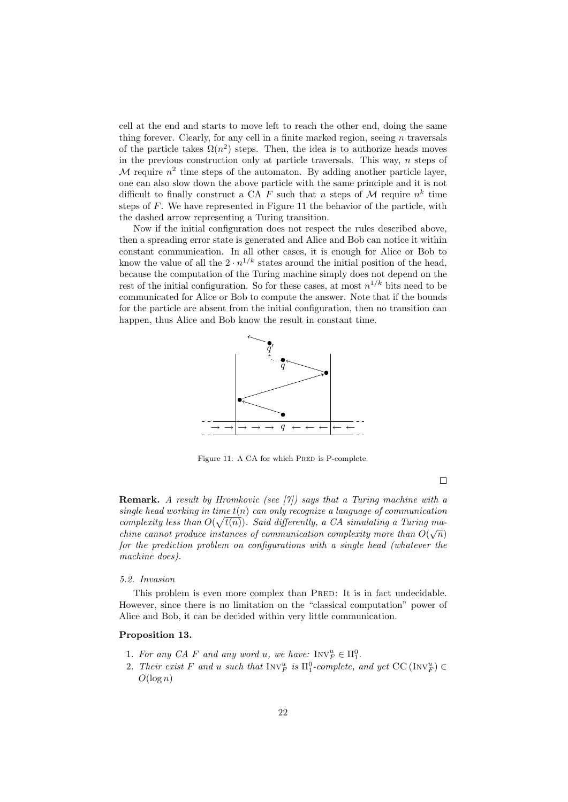cell at the end and starts to move left to reach the other end, doing the same thing forever. Clearly, for any cell in a finite marked region, seeing *n* traversals of the particle takes  $\Omega(n^2)$  steps. Then, the idea is to authorize heads moves in the previous construction only at particle traversals. This way, *n* steps of  $M$  require  $n^2$  time steps of the automaton. By adding another particle layer, one can also slow down the above particle with the same principle and it is not difficult to finally construct a CA  $F$  such that  $n$  steps of  $M$  require  $n^k$  time steps of *F*. We have represented in Figure 11 the behavior of the particle, with the dashed arrow representing a Turing transition.

Now if the initial configuration does not respect the rules described above, then a spreading error state is generated and Alice and Bob can notice it within constant communication. In all other cases, it is enough for Alice or Bob to know the value of all the  $2 \cdot n^{1/k}$  states around the initial position of the head, because the computation of the Turing machine simply does not depend on the rest of the initial configuration. So for these cases, at most  $n^{1/k}$  bits need to be communicated for Alice or Bob to compute the answer. Note that if the bounds for the particle are absent from the initial configuration, then no transition can happen, thus Alice and Bob know the result in constant time.



Figure 11: A CA for which PRED is P-complete.

 $\Box$ 

**Remark.** *A result by Hromkovic (see [7]) says that a Turing machine with a single head working in time t*(*n*) *can only recognize a language of communication complexity less than*  $O(\sqrt{t(n)})$ *. Said differently, a CA simulating a Turing machine cannot produce instances of communication complexity more than*  $O(\sqrt{n})$ *for the prediction problem on configurations with a single head (whatever the machine does).*

#### *5.2. Invasion*

This problem is even more complex than PRED: It is in fact undecidable. However, since there is no limitation on the "classical computation" power of Alice and Bob, it can be decided within very little communication.

# **Proposition 13.**

- 1. For any CA F and any word *u*, we have:  $INV_F^u \in \Pi_1^0$ .
- 2. *Their exist*  $F$  *and*  $u$  *such that*  $\text{Inv}_F^u$  *is*  $\Pi_1^0$ -complete, and yet CC ( $\text{Inv}_F^u$ )  $\in$  $O(\log n)$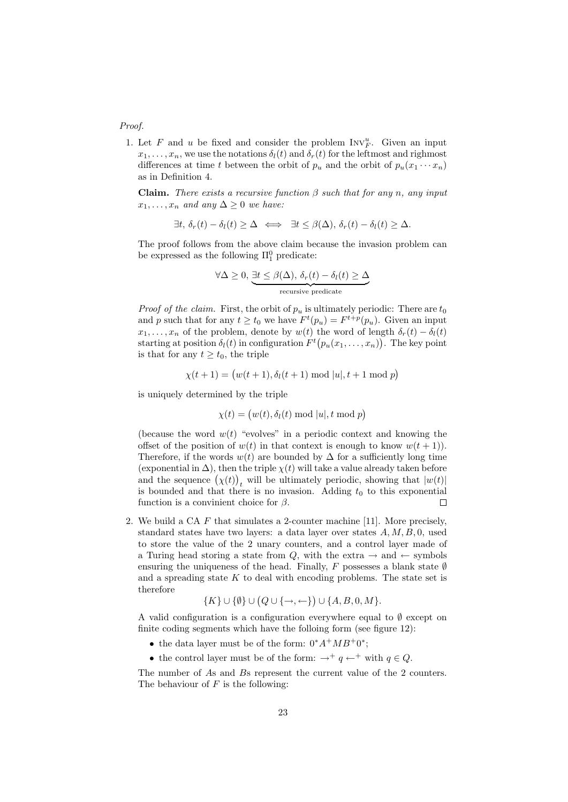#### *Proof.*

1. Let  $F$  and  $u$  be fixed and consider the problem  $INV_F^u$ . Given an input  $x_1, \ldots, x_n$ , we use the notations  $\delta_l(t)$  and  $\delta_r(t)$  for the leftmost and righmost differences at time *t* between the orbit of  $p_u$  and the orbit of  $p_u(x_1 \cdots x_n)$ as in Definition 4.

**Claim.** *There exists a recursive function β such that for any n, any input*  $x_1, \ldots, x_n$  *and any*  $\Delta \geq 0$  *we have:* 

$$
\exists t, \, \delta_r(t) - \delta_l(t) \geq \Delta \iff \exists t \leq \beta(\Delta), \, \delta_r(t) - \delta_l(t) \geq \Delta.
$$

The proof follows from the above claim because the invasion problem can be expressed as the following  $\Pi_1^0$  predicate:

$$
\forall \Delta \geq 0, \underbrace{\exists t \leq \beta(\Delta), \, \delta_r(t) - \delta_l(t)}_{\text{recursive predicate}}
$$

*Proof of the claim.* First, the orbit of  $p_u$  is ultimately periodic: There are  $t_0$ and *p* such that for any  $t \ge t_0$  we have  $F^t(p_u) = F^{t+p}(p_u)$ . Given an input *x*<sub>1</sub>*,..., x<sub>n</sub>* of the problem, denote by  $w(t)$  the word of length  $\delta_r(t) - \delta_l(t)$ starting at position  $\delta_l(t)$  in configuration  $F^t(p_u(x_1,\ldots,x_n))$ . The key point is that for any  $t \geq t_0$ , the triple

$$
\chi(t+1) = (w(t+1), \delta_t(t+1) \bmod |u|, t+1 \bmod p)
$$

is uniquely determined by the triple

$$
\chi(t) = (w(t), \delta_l(t) \bmod |u|, t \bmod p)
$$

(because the word  $w(t)$  "evolves" in a periodic context and knowing the offset of the position of  $w(t)$  in that context is enough to know  $w(t + 1)$ . Therefore, if the words  $w(t)$  are bounded by  $\Delta$  for a sufficiently long time (exponential in  $\Delta$ ), then the triple  $\chi(t)$  will take a value already taken before and the sequence  $(\chi(t))_t$  will be ultimately periodic, showing that  $|w(t)|$ is bounded and that there is no invasion. Adding  $t_0$  to this exponential function is a convinient choice for *β*. П

2. We build a CA *F* that simulates a 2-counter machine [11]. More precisely, standard states have two layers: a data layer over states *A, M, B,* 0, used to store the value of the 2 unary counters, and a control layer made of a Turing head storing a state from  $Q$ , with the extra  $\rightarrow$  and  $\leftarrow$  symbols ensuring the uniqueness of the head. Finally,  $F$  possesses a blank state  $\emptyset$ and a spreading state  $K$  to deal with encoding problems. The state set is therefore

$$
\{K\} \cup \{\emptyset\} \cup \{Q \cup \{\rightarrow, \leftarrow\}\} \cup \{A, B, 0, M\}.
$$

A valid configuration is a configuration everywhere equal to *∅* except on finite coding segments which have the folloing form (see figure 12):

- *•* the data layer must be of the form: 0*∗A*<sup>+</sup>*MB*<sup>+</sup>0 *∗* ;
- the control layer must be of the form:  $\rightarrow$ <sup>+</sup> *q*  $\leftarrow$ <sup>+</sup> with *q*  $\in$  *Q*.

The number of *A*s and *B*s represent the current value of the 2 counters. The behaviour of *F* is the following: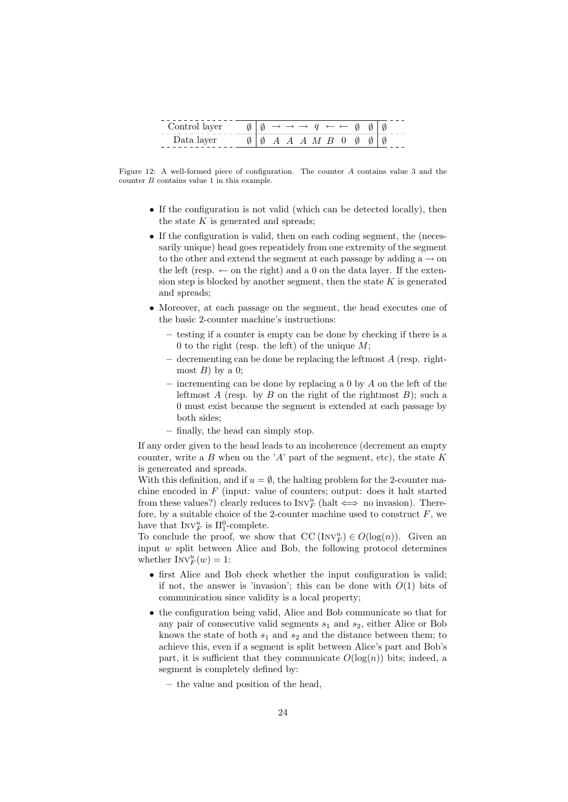| Control layer |     |  |  |  | $\emptyset \mid \emptyset \rightarrow \rightarrow \rightarrow q \leftarrow \leftarrow \emptyset \emptyset \mid \emptyset$ |     |  |
|---------------|-----|--|--|--|---------------------------------------------------------------------------------------------------------------------------|-----|--|
| Data layer    | 000 |  |  |  | $A \land A \land M \land B \quad 0 \quad \emptyset$                                                                       | 010 |  |

Figure 12: A well-formed piece of configuration. The counter *A* contains value 3 and the counter *B* contains value 1 in this example.

- If the configuration is not valid (which can be detected locally), then the state *K* is generated and spreads;
- If the configuration is valid, then on each coding segment, the (necessarily unique) head goes repeatidely from one extremity of the segment to the other and extend the segment at each passage by adding  $a \rightarrow on$ the left (resp.  $\leftarrow$  on the right) and a 0 on the data layer. If the extension step is blocked by another segment, then the state *K* is generated and spreads;
- *•* Moreover, at each passage on the segment, the head executes one of the basic 2-counter machine's instructions:
	- **–** testing if a counter is empty can be done by checking if there is a 0 to the right (resp. the left) of the unique *M*;
	- **–** decrementing can be done be replacing the leftmost *A* (resp. rightmost  $B$ ) by a 0;
	- **–** incrementing can be done by replacing a 0 by *A* on the left of the leftmost *A* (resp. by *B* on the right of the rightmost *B*); such a 0 must exist because the segment is extended at each passage by both sides;
	- **–** finally, the head can simply stop.

If any order given to the head leads to an incoherence (decrement an empty counter, write a *B* when on the '*A*' part of the segment, etc), the state *K* is genereated and spreads.

With this definition, and if  $u = \emptyset$ , the halting problem for the 2-counter machine encoded in *F* (input: value of counters; output: does it halt started from these values?) clearly reduces to  $\text{Inv}_{F}^{u}$  (halt  $\iff$  no invasion). Therefore, by a suitable choice of the 2-counter machine used to construct  $F$ , we have that  $\text{Inv}_{F}^{u}$  is  $\Pi_{1}^{0}$ -complete.

To conclude the proof, we show that  $\text{CC}(\text{Inv}_F^u) \in O(\log(n))$ . Given an input *w* split between Alice and Bob, the following protocol determines whether  $\text{Inv}_F^u(w) = 1$ :

- first Alice and Bob check whether the input configuration is valid; if not, the answer is 'invasion'; this can be done with  $O(1)$  bits of communication since validity is a local property;
- *•* the configuration being valid, Alice and Bob communicate so that for any pair of consecutive valid segments  $s_1$  and  $s_2$ , either Alice or Bob knows the state of both  $s_1$  and  $s_2$  and the distance between them; to achieve this, even if a segment is split between Alice's part and Bob's part, it is sufficient that they communicate  $O(\log(n))$  bits; indeed, a segment is completely defined by:
	- **–** the value and position of the head,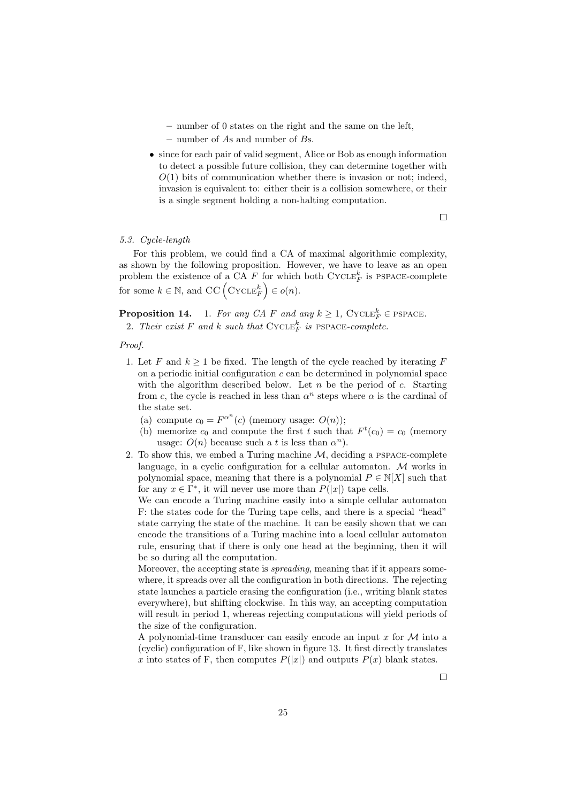- **–** number of 0 states on the right and the same on the left,
- **–** number of *A*s and number of *B*s.
- *•* since for each pair of valid segment, Alice or Bob as enough information to detect a possible future collision, they can determine together with  $O(1)$  bits of communication whether there is invasion or not; indeed, invasion is equivalent to: either their is a collision somewhere, or their is a single segment holding a non-halting computation.

 $\Box$ 

# *5.3. Cycle-length*

For this problem, we could find a CA of maximal algorithmic complexity, as shown by the following proposition. However, we have to leave as an open problem the existence of a CA  $F$  for which both CYCLE<sup> $k$ </sup><sub>F</sub> is PSPACE-complete for some  $k \in \mathbb{N}$ , and  $\mathrm{CC}(\mathrm{CYCLE}_F^k) \in o(n)$ .

**Proposition 14.** 1. *For any CA F and any*  $k \geq 1$ , CYCLE<sup>k</sup><sub>*F*</sub>  $\in$  PSPACE. 2. *Their exist*  $F$  *and*  $k$  *such that*  $\text{CYCLE}_F^k$  *is*  $\text{PSPACE-complete}$ .

#### *Proof.*

- 1. Let  $F$  and  $k \geq 1$  be fixed. The length of the cycle reached by iterating  $F$ on a periodic initial configuration *c* can be determined in polynomial space with the algorithm described below. Let *n* be the period of *c*. Starting from *c*, the cycle is reached in less than  $\alpha^n$  steps where  $\alpha$  is the cardinal of the state set.
	- (a) compute  $c_0 = F^{\alpha^n}(c)$  (memory usage:  $O(n)$ );
	- (b) memorize  $c_0$  and compute the first  $t$  such that  $F^t(c_0) = c_0$  (memory usage:  $O(n)$  because such a *t* is less than  $\alpha^n$ ).
- 2. To show this, we embed a Turing machine *M*, deciding a pspace-complete language, in a cyclic configuration for a cellular automaton. *M* works in polynomial space, meaning that there is a polynomial  $P \in N[X]$  such that for any  $x \in \Gamma^*$ , it will never use more than  $P(|x|)$  tape cells.

We can encode a Turing machine easily into a simple cellular automaton F: the states code for the Turing tape cells, and there is a special "head" state carrying the state of the machine. It can be easily shown that we can encode the transitions of a Turing machine into a local cellular automaton rule, ensuring that if there is only one head at the beginning, then it will be so during all the computation.

Moreover, the accepting state is *spreading*, meaning that if it appears somewhere, it spreads over all the configuration in both directions. The rejecting state launches a particle erasing the configuration (i.e., writing blank states everywhere), but shifting clockwise. In this way, an accepting computation will result in period 1, whereas rejecting computations will yield periods of the size of the configuration.

A polynomial-time transducer can easily encode an input *x* for *M* into a (cyclic) configuration of F, like shown in figure 13. It first directly translates *x* into states of F, then computes  $P(|x|)$  and outputs  $P(x)$  blank states.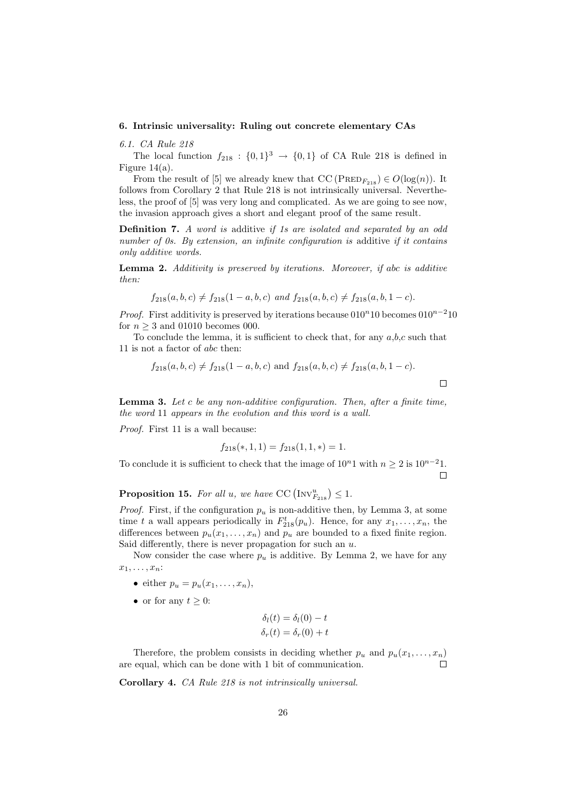#### **6. Intrinsic universality: Ruling out concrete elementary CAs**

*6.1. CA Rule 218*

The local function  $f_{218}$ :  $\{0,1\}$ <sup>3</sup>  $\rightarrow$   $\{0,1\}$  of CA Rule 218 is defined in Figure  $14(a)$ .

From the result of [5] we already knew that  $CC \left( \text{PRED}_{F_{218}} \right) \in O(\log(n))$ . It follows from Corollary 2 that Rule 218 is not intrinsically universal. Nevertheless, the proof of [5] was very long and complicated. As we are going to see now, the invasion approach gives a short and elegant proof of the same result.

**Definition 7.** *A word is* additive *if 1s are isolated and separated by an odd number of 0s. By extension, an infinite configuration is* additive *if it contains only additive words.*

**Lemma 2.** *Additivity is preserved by iterations. Moreover, if abc is additive then:*

$$
f_{218}(a, b, c) \neq f_{218}(1 - a, b, c)
$$
 and  $f_{218}(a, b, c) \neq f_{218}(a, b, 1 - c)$ .

*Proof.* First additivity is preserved by iterations because 010<sup>*n*</sup>10 becomes 010<sup>*n*−2</sup>10 for  $n \geq 3$  and 01010 becomes 000.

To conclude the lemma, it is sufficient to check that, for any *a*,*b*,*c* such that 11 is not a factor of *abc* then:

$$
f_{218}(a, b, c) \neq f_{218}(1 - a, b, c)
$$
 and  $f_{218}(a, b, c) \neq f_{218}(a, b, 1 - c)$ .

**Lemma 3.** *Let c be any non-additive configuration. Then, after a finite time, the word* 11 *appears in the evolution and this word is a wall.*

*Proof.* First 11 is a wall because:

$$
f_{218}(*, 1, 1) = f_{218}(1, 1, *) = 1.
$$

To conclude it is sufficient to check that the image of  $10^n1$  with  $n \geq 2$  is  $10^{n-2}1$ .  $\Box$ 

**Proposition 15.** For all *u*, we have CC  $(NV_{F_{218}}^u) \leq 1$ .

*Proof.* First, if the configuration  $p_u$  is non-additive then, by Lemma 3, at some time *t* a wall appears periodically in  $F_{218}^t(p_u)$ . Hence, for any  $x_1, \ldots, x_n$ , the differences between  $p_u(x_1, \ldots, x_n)$  and  $p_u$  are bounded to a fixed finite region. Said differently, there is never propagation for such an *u*.

Now consider the case where  $p_u$  is additive. By Lemma 2, we have for any  $x_1, \ldots, x_n$ :

- either  $p_u = p_u(x_1, \ldots, x_n),$
- or for any  $t \geq 0$ :

$$
\delta_l(t) = \delta_l(0) - t
$$
  

$$
\delta_r(t) = \delta_r(0) + t
$$

Therefore, the problem consists in deciding whether  $p_u$  and  $p_u(x_1, \ldots, x_n)$ are equal, which can be done with 1 bit of communication.  $\Box$ 

**Corollary 4.** *CA Rule 218 is not intrinsically universal.*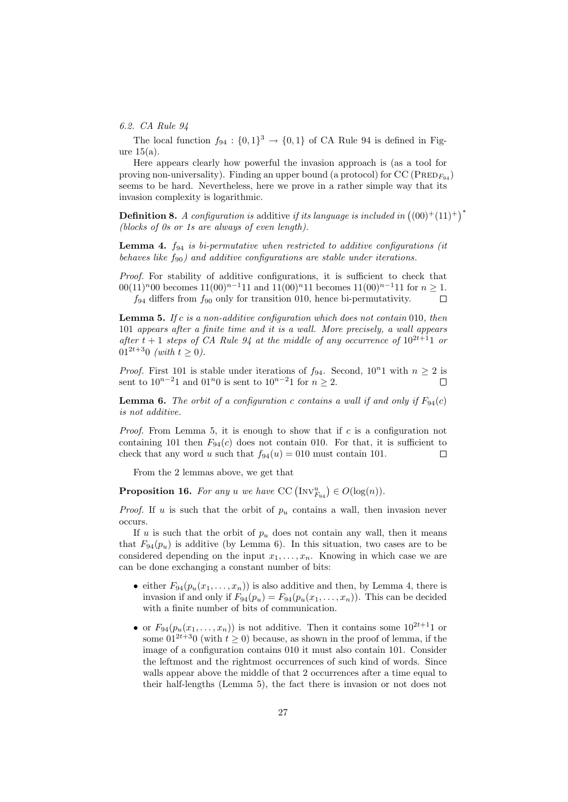#### *6.2. CA Rule 94*

The local function  $f_{94}$ :  $\{0,1\}$ <sup>3</sup>  $\rightarrow$   $\{0,1\}$  of CA Rule 94 is defined in Figure 15(a).

Here appears clearly how powerful the invasion approach is (as a tool for proving non-universality). Finding an upper bound (a protocol) for  $CC$  ( $PRED<sub>F94</sub>$ ) seems to be hard. Nevertheless, here we prove in a rather simple way that its invasion complexity is logarithmic.

**Definition 8.** *A configuration is* additive *if its language is included in*  $((00)^+(11)^+)^*$ *(blocks of 0s or 1s are always of even length).*

**Lemma 4.** *f*<sup>94</sup> *is bi-permutative when restricted to additive configurations (it behaves like f*90*) and additive configurations are stable under iterations.*

*Proof.* For stability of additive configurations, it is sufficient to check that 00(11)*<sup>n</sup>*00 becomes 11(00)*<sup>n</sup>−*<sup>1</sup>11 and 11(00)*<sup>n</sup>*11 becomes 11(00)*<sup>n</sup>−*<sup>1</sup>11 for *n ≥* 1. *f*<sup>94</sup> differs from *f*<sup>90</sup> only for transition 010, hence bi-permutativity.  $\Box$ 

**Lemma 5.** *If c is a non-additive configuration which does not contain* 010*, then* 101 *appears after a finite time and it is a wall. More precisely, a wall appears after*  $t + 1$  *steps of CA Rule 94 at the middle of any occurrence of*  $10^{2t+1}$  *or*  $01^{2t+3}0$  *(with*  $t > 0$ ).

*Proof.* First 101 is stable under iterations of  $f_{94}$ . Second,  $10^n1$  with  $n \geq 2$  is sent to  $10^{n-2}1$  and  $01^n0$  is sent to  $10^{n-2}1$  for  $n \ge 2$ . Г

**Lemma 6.** *The orbit of a configuration c contains a wall if and only if*  $F_{94}(c)$ *is not additive.*

*Proof.* From Lemma 5, it is enough to show that if *c* is a configuration not containing 101 then  $F_{94}(c)$  does not contain 010. For that, it is sufficient to check that any word *u* such that  $f_{94}(u) = 010$  must contain 101.  $\Box$ 

From the 2 lemmas above, we get that

**Proposition 16.** For any *u* we have  $CC \left( Inv_{F_{94}}^u \right) \in O(log(n))$ .

*Proof.* If *u* is such that the orbit of *p<sup>u</sup>* contains a wall, then invasion never occurs.

If  $u$  is such that the orbit of  $p_u$  does not contain any wall, then it means that  $F_{94}(p_u)$  is additive (by Lemma 6). In this situation, two cases are to be considered depending on the input  $x_1, \ldots, x_n$ . Knowing in which case we are can be done exchanging a constant number of bits:

- either  $F_{94}(p_u(x_1,\ldots,x_n))$  is also additive and then, by Lemma 4, there is invasion if and only if  $F_{94}(p_u) = F_{94}(p_u(x_1, \ldots, x_n))$ . This can be decided with a finite number of bits of communication.
- or  $F_{94}(p_u(x_1,\ldots,x_n))$  is not additive. Then it contains some  $10^{2t+1}1$  or some  $01^{2t+3}0$  (with  $t \ge 0$ ) because, as shown in the proof of lemma, if the image of a configuration contains 010 it must also contain 101. Consider the leftmost and the rightmost occurrences of such kind of words. Since walls appear above the middle of that 2 occurrences after a time equal to their half-lengths (Lemma 5), the fact there is invasion or not does not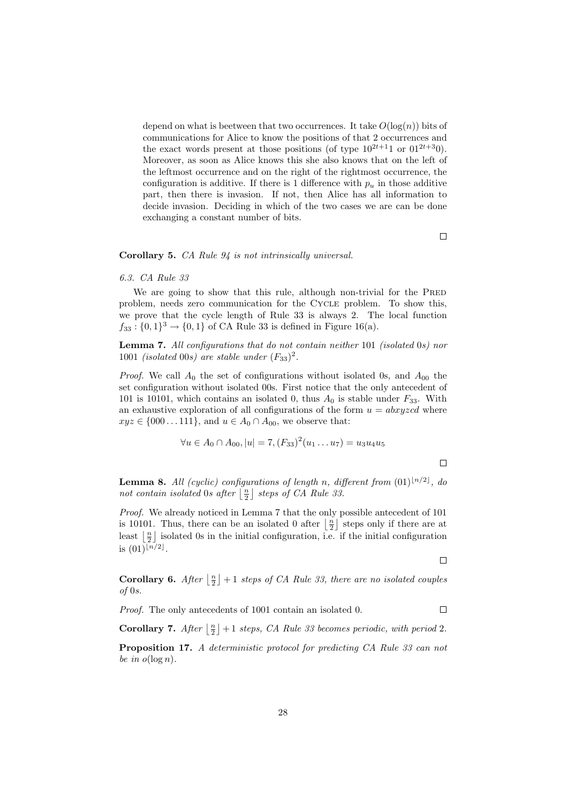depend on what is beetween that two occurrences. It take  $O(\log(n))$  bits of communications for Alice to know the positions of that 2 occurrences and the exact words present at those positions (of type  $10^{2t+1}1$  or  $01^{2t+3}0$ ). Moreover, as soon as Alice knows this she also knows that on the left of the leftmost occurrence and on the right of the rightmost occurrence, the configuration is additive. If there is 1 difference with  $p_u$  in those additive part, then there is invasion. If not, then Alice has all information to decide invasion. Deciding in which of the two cases we are can be done exchanging a constant number of bits.

 $\Box$ 

 $\Box$ 

 $\Box$ 

 $\Box$ 

#### **Corollary 5.** *CA Rule 94 is not intrinsically universal.*

#### *6.3. CA Rule 33*

We are going to show that this rule, although non-trivial for the PRED problem, needs zero communication for the CYCLE problem. To show this, we prove that the cycle length of Rule 33 is always 2. The local function  $f_{33}: \{0,1\}^3 \to \{0,1\}$  of CA Rule 33 is defined in Figure 16(a).

**Lemma 7.** *All configurations that do not contain neither* 101 *(isolated* 0*s) nor* 1001 *(isolated* 00*s)* are stable under  $(F_{33})^2$ .

*Proof.* We call  $A_0$  the set of configurations without isolated 0s, and  $A_{00}$  the set configuration without isolated 00s. First notice that the only antecedent of 101 is 10101, which contains an isolated 0, thus  $A_0$  is stable under  $F_{33}$ . With an exhaustive exploration of all configurations of the form  $u = abxyzcd$  where *xyz* ∈ {000 *...* 111}, and *u* ∈ *A*<sub>0</sub> ∩ *A*<sub>00</sub>, we observe that:

$$
\forall u \in A_0 \cap A_{00}, |u| = 7, (F_{33})^2(u_1 \dots u_7) = u_3 u_4 u_5
$$

**Lemma 8.** *All (cyclic) configurations of length n, different from*  $(01)^{\lfloor n/2 \rfloor}$ , do *not contain isolated* 0*s after*  $\left[\frac{n}{2}\right]$  *steps of CA Rule 33.* 

*Proof.* We already noticed in Lemma 7 that the only possible antecedent of 101 is 10101. Thus, there can be an isolated 0 after  $\lfloor \frac{n}{2} \rfloor$  steps only if there are at least  $\lfloor \frac{n}{2} \rfloor$  isolated 0s in the initial configuration, i.e. if the initial configuration is  $(01)^{\lfloor n/2 \rfloor}$ .

**Corollary 6.** *After*  $\lfloor \frac{n}{2} \rfloor + 1$  *steps of CA Rule 33, there are no isolated couples of* 0*s.*

*Proof.* The only antecedents of 1001 contain an isolated 0.

**Corollary 7.** *After*  $\lfloor \frac{n}{2} \rfloor + 1$  *steps, CA Rule 33 becomes periodic, with period* 2*.* 

**Proposition 17.** *A deterministic protocol for predicting CA Rule 33 can not be in*  $o(\log n)$ *.*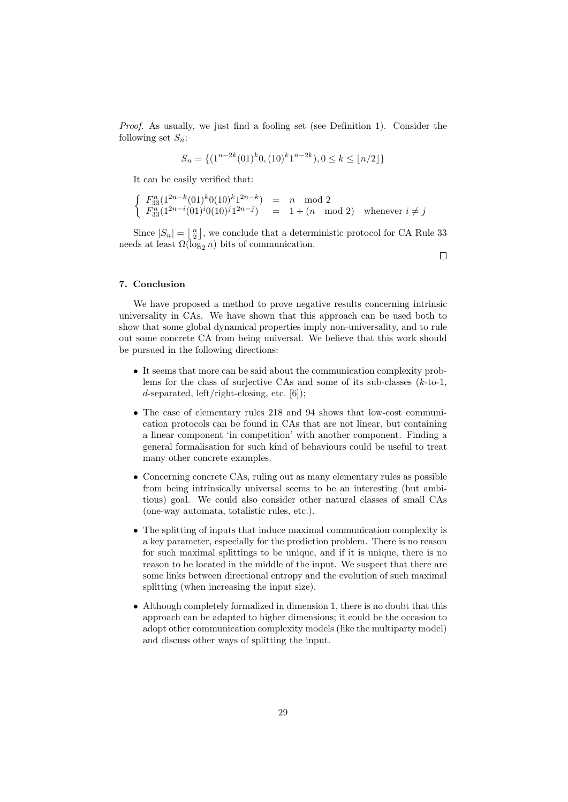*Proof.* As usually, we just find a fooling set (see Definition 1). Consider the following set  $S_n$ :

$$
S_n = \{ (1^{n-2k}(01)^k 0, (10)^k 1^{n-2k}), 0 \le k \le \lfloor n/2 \rfloor \}
$$

It can be easily verified that:

$$
\begin{cases}\nF_{33}^{n}(1^{2n-k}(01)^{k}0(10)^{k}1^{2n-k}) = n \mod 2 \\
F_{33}^{n}(1^{2n-i}(01)^{i}0(10)^{j}1^{2n-j}) = 1 + (n \mod 2) \text{ whenever } i \neq j\n\end{cases}
$$

Since  $|S_n| = \lfloor \frac{n}{2} \rfloor$ , we conclude that a deterministic protocol for CA Rule 33 needs at least  $\Omega(\log_2 n)$  bits of communication.

 $\Box$ 

# **7. Conclusion**

We have proposed a method to prove negative results concerning intrinsic universality in CAs. We have shown that this approach can be used both to show that some global dynamical properties imply non-universality, and to rule out some concrete CA from being universal. We believe that this work should be pursued in the following directions:

- *•* It seems that more can be said about the communication complexity problems for the class of surjective CAs and some of its sub-classes (*k*-to-1, *d*-separated, left/right-closing, etc. [6]);
- *•* The case of elementary rules 218 and 94 shows that low-cost communication protocols can be found in CAs that are not linear, but containing a linear component 'in competition' with another component. Finding a general formalisation for such kind of behaviours could be useful to treat many other concrete examples.
- Concerning concrete CAs, ruling out as many elementary rules as possible from being intrinsically universal seems to be an interesting (but ambitious) goal. We could also consider other natural classes of small CAs (one-way automata, totalistic rules, etc.).
- The splitting of inputs that induce maximal communication complexity is a key parameter, especially for the prediction problem. There is no reason for such maximal splittings to be unique, and if it is unique, there is no reason to be located in the middle of the input. We suspect that there are some links between directional entropy and the evolution of such maximal splitting (when increasing the input size).
- Although completely formalized in dimension 1, there is no doubt that this approach can be adapted to higher dimensions; it could be the occasion to adopt other communication complexity models (like the multiparty model) and discuss other ways of splitting the input.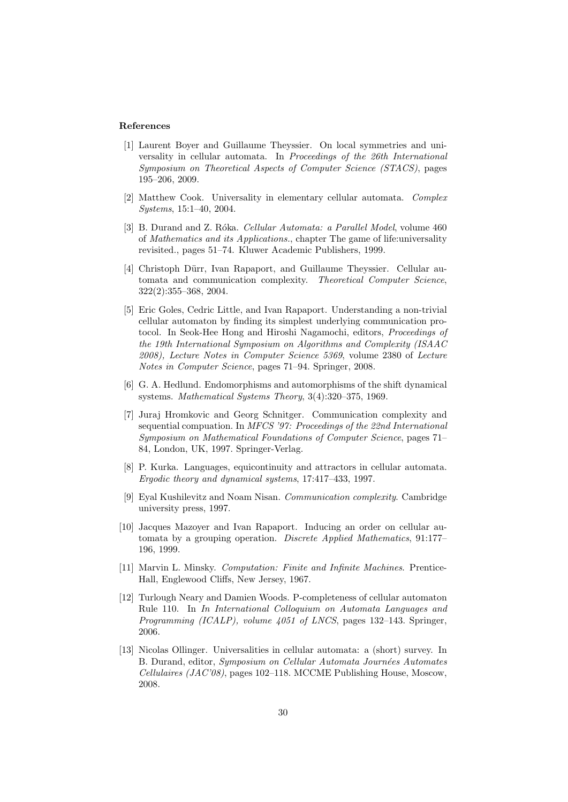## **References**

- [1] Laurent Boyer and Guillaume Theyssier. On local symmetries and universality in cellular automata. In *Proceedings of the 26th International Symposium on Theoretical Aspects of Computer Science (STACS)*, pages 195–206, 2009.
- [2] Matthew Cook. Universality in elementary cellular automata. *Complex Systems*, 15:1–40, 2004.
- [3] B. Durand and Z. Róka. *Cellular Automata: a Parallel Model*, volume 460 of *Mathematics and its Applications.*, chapter The game of life:universality revisited., pages 51–74. Kluwer Academic Publishers, 1999.
- [4] Christoph Dürr, Ivan Rapaport, and Guillaume Theyssier. Cellular automata and communication complexity. *Theoretical Computer Science*, 322(2):355–368, 2004.
- [5] Eric Goles, Cedric Little, and Ivan Rapaport. Understanding a non-trivial cellular automaton by finding its simplest underlying communication protocol. In Seok-Hee Hong and Hiroshi Nagamochi, editors, *Proceedings of the 19th International Symposium on Algorithms and Complexity (ISAAC 2008), Lecture Notes in Computer Science 5369*, volume 2380 of *Lecture Notes in Computer Science*, pages 71–94. Springer, 2008.
- [6] G. A. Hedlund. Endomorphisms and automorphisms of the shift dynamical systems. *Mathematical Systems Theory*, 3(4):320–375, 1969.
- [7] Juraj Hromkovic and Georg Schnitger. Communication complexity and sequential compuation. In *MFCS '97: Proceedings of the 22nd International Symposium on Mathematical Foundations of Computer Science*, pages 71– 84, London, UK, 1997. Springer-Verlag.
- [8] P. Kurka. Languages, equicontinuity and attractors in cellular automata. *Ergodic theory and dynamical systems*, 17:417–433, 1997.
- [9] Eyal Kushilevitz and Noam Nisan. *Communication complexity*. Cambridge university press, 1997.
- [10] Jacques Mazoyer and Ivan Rapaport. Inducing an order on cellular automata by a grouping operation. *Discrete Applied Mathematics*, 91:177– 196, 1999.
- [11] Marvin L. Minsky. *Computation: Finite and Infinite Machines*. Prentice-Hall, Englewood Cliffs, New Jersey, 1967.
- [12] Turlough Neary and Damien Woods. P-completeness of cellular automaton Rule 110. In *In International Colloquium on Automata Languages and Programming (ICALP), volume 4051 of LNCS*, pages 132–143. Springer, 2006.
- [13] Nicolas Ollinger. Universalities in cellular automata: a (short) survey. In B. Durand, editor, *Symposium on Cellular Automata Journ´ees Automates Cellulaires (JAC'08)*, pages 102–118. MCCME Publishing House, Moscow, 2008.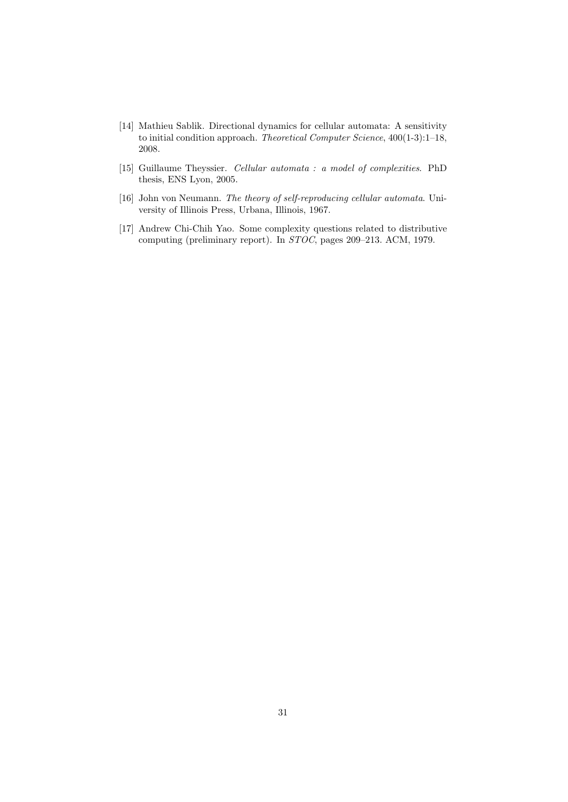- [14] Mathieu Sablik. Directional dynamics for cellular automata: A sensitivity to initial condition approach. *Theoretical Computer Science*, 400(1-3):1–18, 2008.
- [15] Guillaume Theyssier. *Cellular automata : a model of complexities*. PhD thesis, ENS Lyon, 2005.
- [16] John von Neumann. *The theory of self-reproducing cellular automata*. University of Illinois Press, Urbana, Illinois, 1967.
- [17] Andrew Chi-Chih Yao. Some complexity questions related to distributive computing (preliminary report). In *STOC*, pages 209–213. ACM, 1979.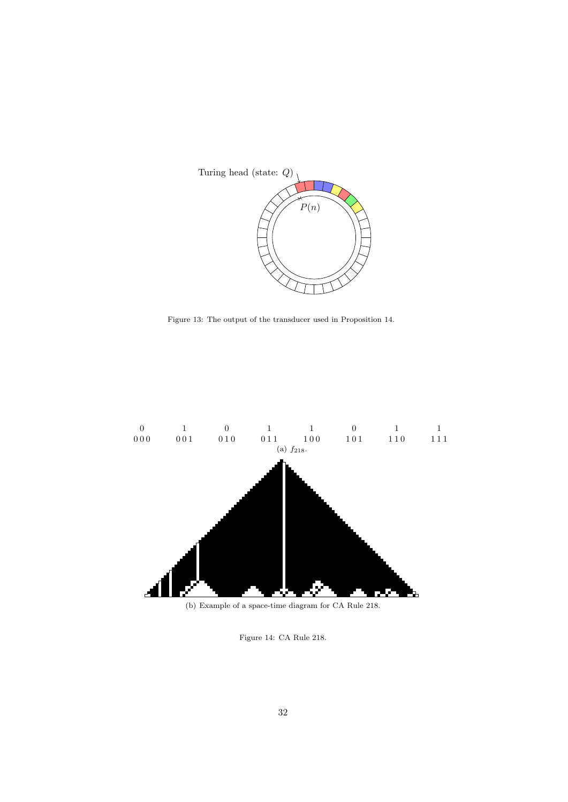

Figure 13: The output of the transducer used in Proposition 14.



(b) Example of a space-time diagram for CA Rule 218.

Figure 14: CA Rule 218.